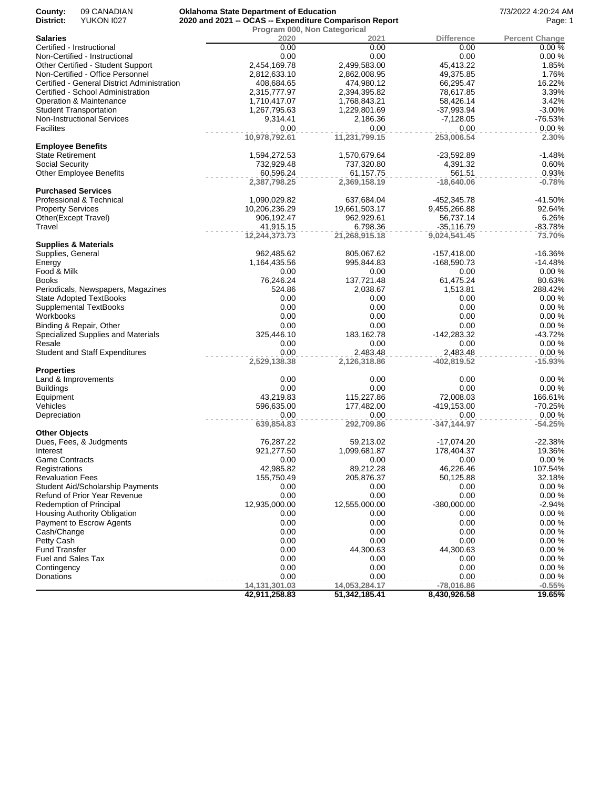| County:<br>District:              | 09 CANADIAN<br><b>YUKON 1027</b>                             | <b>Oklahoma State Department of Education</b> | 2020 and 2021 -- OCAS -- Expenditure Comparison Report |                        | 7/3/2022 4:20:24 AM<br>Page: 1 |
|-----------------------------------|--------------------------------------------------------------|-----------------------------------------------|--------------------------------------------------------|------------------------|--------------------------------|
|                                   |                                                              | Program 000, Non Categorical                  |                                                        |                        |                                |
| <b>Salaries</b>                   |                                                              | 2020                                          | 2021                                                   | Difference             | <b>Percent Change</b>          |
|                                   | Certified - Instructional                                    | 0.00                                          | 0.00                                                   | 0.00                   | 0.00%                          |
|                                   | Non-Certified - Instructional                                | 0.00                                          | 0.00                                                   | 0.00                   | 0.00%                          |
|                                   | Other Certified - Student Support                            | 2,454,169.78                                  | 2,499,583.00                                           | 45,413.22              | 1.85%                          |
|                                   | Non-Certified - Office Personnel                             | 2,812,633.10                                  | 2,862,008.95                                           | 49,375.85              | 1.76%                          |
|                                   | Certified - General District Administration                  | 408,684.65                                    | 474,980.12                                             | 66,295.47<br>78,617.85 | 16.22%<br>3.39%                |
|                                   | Certified - School Administration<br>Operation & Maintenance | 2,315,777.97<br>1,710,417.07                  | 2,394,395.82<br>1,768,843.21                           | 58,426.14              | 3.42%                          |
|                                   | <b>Student Transportation</b>                                | 1,267,795.63                                  | 1,229,801.69                                           | $-37,993.94$           | $-3.00%$                       |
|                                   | <b>Non-Instructional Services</b>                            | 9,314.41                                      | 2,186.36                                               | $-7,128.05$            | $-76.53%$                      |
| <b>Facilites</b>                  |                                                              | 0.00                                          | 0.00                                                   | 0.00                   | 0.00%                          |
|                                   |                                                              | 10,978,792.61                                 | 11,231,799.15                                          | 253,006.54             | 2.30%                          |
|                                   | <b>Employee Benefits</b>                                     |                                               |                                                        |                        |                                |
| <b>State Retirement</b>           |                                                              | 1,594,272.53                                  | 1,570,679.64                                           | $-23,592.89$           | $-1.48%$                       |
| Social Security                   |                                                              | 732,929.48                                    | 737,320.80                                             | 4,391.32               | 0.60%                          |
|                                   | <b>Other Employee Benefits</b>                               | 60,596.24                                     | 61,157.75                                              | 561.51                 | 0.93%                          |
|                                   |                                                              | 2,387,798.25                                  | 2,369,158.19                                           | $-18,640.06$           | $-0.78%$                       |
|                                   | <b>Purchased Services</b>                                    |                                               |                                                        |                        |                                |
|                                   | Professional & Technical                                     | 1,090,029.82                                  | 637,684.04                                             | -452,345.78            | $-41.50%$                      |
| <b>Property Services</b>          |                                                              | 10,206,236.29                                 | 19,661,503.17                                          | 9,455,266.88           | 92.64%                         |
|                                   | Other(Except Travel)                                         | 906,192.47                                    | 962,929.61                                             | 56,737.14              | 6.26%                          |
| Travel                            |                                                              | 41,915.15                                     | 6,798.36                                               | $-35,116.79$           | -83.78%                        |
|                                   |                                                              | 12,244,373.73                                 | 21,268,915.18                                          | 9,024,541.45           | 73.70%                         |
|                                   | <b>Supplies &amp; Materials</b>                              |                                               |                                                        |                        |                                |
| Supplies, General                 |                                                              | 962,485.62                                    | 805,067.62                                             | $-157,418.00$          | $-16.36%$                      |
| Energy<br>Food & Milk             |                                                              | 1,164,435.56                                  | 995,844.83                                             | -168,590.73<br>0.00    | $-14.48%$<br>0.00%             |
| <b>Books</b>                      |                                                              | 0.00<br>76,246.24                             | 0.00<br>137,721.48                                     | 61,475.24              | 80.63%                         |
|                                   | Periodicals, Newspapers, Magazines                           | 524.86                                        | 2,038.67                                               | 1,513.81               | 288.42%                        |
|                                   | <b>State Adopted TextBooks</b>                               | 0.00                                          | 0.00                                                   | 0.00                   | 0.00%                          |
|                                   | <b>Supplemental TextBooks</b>                                | 0.00                                          | 0.00                                                   | 0.00                   | 0.00%                          |
| Workbooks                         |                                                              | 0.00                                          | 0.00                                                   | 0.00                   | 0.00%                          |
|                                   | Binding & Repair, Other                                      | 0.00                                          | 0.00                                                   | 0.00                   | 0.00%                          |
|                                   | Specialized Supplies and Materials                           | 325,446.10                                    | 183, 162. 78                                           | -142,283.32            | $-43.72%$                      |
| Resale                            |                                                              | 0.00                                          | 0.00                                                   | 0.00                   | 0.00%                          |
|                                   | <b>Student and Staff Expenditures</b>                        | 0.00                                          | 2,483.48                                               | 2,483.48               | 0.00%                          |
|                                   |                                                              | 2,529,138.38                                  | 2,126,318.86                                           | $-402,819.52$          | $-15.93%$                      |
| <b>Properties</b>                 |                                                              |                                               |                                                        |                        |                                |
|                                   | Land & Improvements                                          | 0.00                                          | 0.00                                                   | 0.00                   | 0.00%                          |
| <b>Buildings</b>                  |                                                              | 0.00                                          | 0.00                                                   | 0.00                   | 0.00%                          |
| Equipment                         |                                                              | 43,219.83                                     | 115,227.86                                             | 72,008.03              | 166.61%                        |
| Vehicles                          |                                                              | 596,635.00                                    | 177,482.00                                             | -419,153.00            | $-70.25%$                      |
| Depreciation                      |                                                              | 0.00                                          | 0.00                                                   | 0.00                   | 0.00%                          |
|                                   |                                                              | 639,854.83                                    | 292,709.86                                             | $-347,144.97$          | $-54.25%$                      |
| <b>Other Objects</b>              |                                                              |                                               |                                                        |                        |                                |
|                                   | Dues, Fees, & Judgments                                      | 76,287.22                                     | 59,213.02                                              | -17,074.20             | $-22.38%$                      |
| Interest<br><b>Game Contracts</b> |                                                              | 921,277.50<br>0.00                            | 1,099,681.87<br>0.00                                   | 178,404.37<br>0.00     | 19.36%<br>0.00%                |
| Registrations                     |                                                              | 42,985.82                                     | 89,212.28                                              | 46,226.46              | 107.54%                        |
| <b>Revaluation Fees</b>           |                                                              | 155,750.49                                    | 205,876.37                                             | 50,125.88              | 32.18%                         |
|                                   | Student Aid/Scholarship Payments                             | 0.00                                          | 0.00                                                   | 0.00                   | 0.00%                          |
|                                   | Refund of Prior Year Revenue                                 | 0.00                                          | 0.00                                                   | 0.00                   | 0.00%                          |
|                                   | <b>Redemption of Principal</b>                               | 12,935,000.00                                 | 12,555,000.00                                          | $-380,000.00$          | $-2.94%$                       |
|                                   | Housing Authority Obligation                                 | 0.00                                          | 0.00                                                   | 0.00                   | 0.00%                          |
|                                   | Payment to Escrow Agents                                     | 0.00                                          | 0.00                                                   | 0.00                   | 0.00%                          |
| Cash/Change                       |                                                              | 0.00                                          | 0.00                                                   | 0.00                   | 0.00%                          |
| Petty Cash                        |                                                              | 0.00                                          | 0.00                                                   | 0.00                   | 0.00%                          |
| <b>Fund Transfer</b>              |                                                              | 0.00                                          | 44,300.63                                              | 44,300.63              | 0.00%                          |
| <b>Fuel and Sales Tax</b>         |                                                              | 0.00                                          | 0.00                                                   | 0.00                   | 0.00%                          |
| Contingency                       |                                                              | 0.00                                          | 0.00                                                   | 0.00                   | 0.00%                          |
| Donations                         |                                                              | 0.00                                          | 0.00                                                   | 0.00                   | 0.00%                          |
|                                   |                                                              | 14,131,301.03                                 | 14,053,284.17                                          | $-78,016.86$           | $-0.55%$                       |
|                                   |                                                              | 42,911,258.83                                 | 51,342,185.41                                          | 8,430,926.58           | 19.65%                         |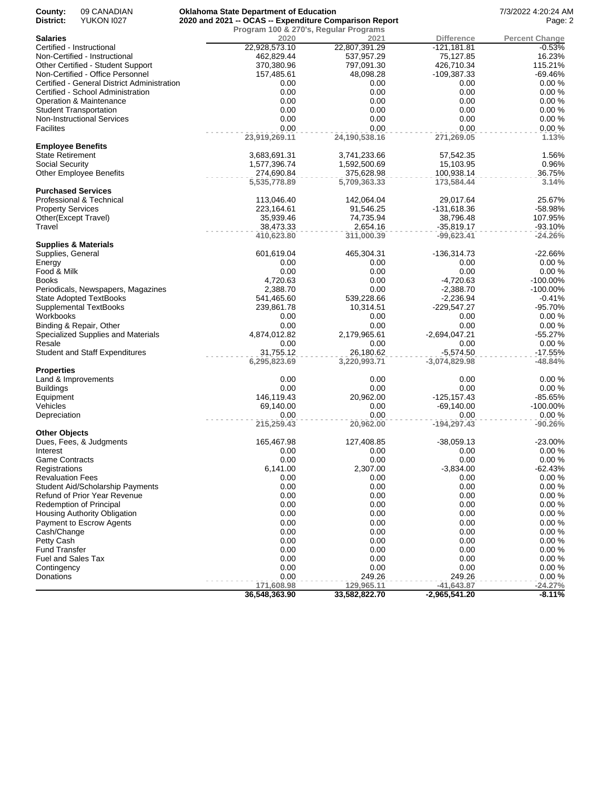| 09 CANADIAN<br>County:<br>District:<br><b>YUKON 1027</b> | <b>Oklahoma State Department of Education</b><br>2020 and 2021 -- OCAS -- Expenditure Comparison Report |                                       |                   | 7/3/2022 4:20:24 AM<br>Page: 2 |
|----------------------------------------------------------|---------------------------------------------------------------------------------------------------------|---------------------------------------|-------------------|--------------------------------|
|                                                          |                                                                                                         | Program 100 & 270's, Regular Programs |                   |                                |
| <b>Salaries</b>                                          | 2020                                                                                                    | 2021                                  | <b>Difference</b> | <b>Percent Change</b>          |
| Certified - Instructional                                | 22,928,573.10                                                                                           | 22,807,391.29                         | $-121,181.81$     | $-0.53%$                       |
| Non-Certified - Instructional                            | 462,829.44                                                                                              | 537,957.29                            | 75,127.85         | 16.23%                         |
| Other Certified - Student Support                        | 370,380.96                                                                                              | 797,091.30                            | 426,710.34        | 115.21%                        |
| Non-Certified - Office Personnel                         | 157,485.61                                                                                              | 48,098.28                             | -109,387.33       | -69.46%                        |
| Certified - General District Administration              | 0.00                                                                                                    | 0.00                                  | 0.00              | 0.00%                          |
| Certified - School Administration                        | 0.00                                                                                                    | 0.00                                  | 0.00              | 0.00%                          |
| Operation & Maintenance                                  | 0.00                                                                                                    | 0.00                                  | 0.00              | 0.00%                          |
| <b>Student Transportation</b>                            | 0.00                                                                                                    | 0.00                                  | 0.00              | 0.00%                          |
| Non-Instructional Services                               | 0.00                                                                                                    | 0.00                                  | 0.00              | 0.00%                          |
| <b>Facilites</b>                                         | 0.00                                                                                                    | 0.00                                  | 0.00              | 0.00%                          |
| <b>Employee Benefits</b>                                 | 23,919,269.11                                                                                           | 24,190,538.16                         | 271,269.05        | 1.13%                          |
| <b>State Retirement</b>                                  | 3,683,691.31                                                                                            | 3,741,233.66                          | 57,542.35         | 1.56%                          |
| Social Security                                          | 1,577,396.74                                                                                            | 1,592,500.69                          | 15,103.95         | 0.96%                          |
| <b>Other Employee Benefits</b>                           | 274,690.84                                                                                              | 375,628.98                            | 100,938.14        | 36.75%                         |
|                                                          | 5,535,778.89                                                                                            | 5,709,363.33                          | 173,584.44        | 3.14%                          |
| <b>Purchased Services</b>                                |                                                                                                         |                                       |                   |                                |
| Professional & Technical                                 | 113,046.40                                                                                              | 142,064.04                            | 29,017.64         | 25.67%                         |
| <b>Property Services</b>                                 | 223,164.61                                                                                              | 91,546.25                             | -131,618.36       | -58.98%                        |
| Other(Except Travel)                                     | 35,939.46                                                                                               | 74,735.94                             | 38,796.48         | 107.95%                        |
| Travel                                                   | 38,473.33                                                                                               | 2,654.16                              | $-35,819.17$      | $-93.10%$                      |
|                                                          | 410,623.80                                                                                              | 311,000.39                            | $-99,623.41$      | $-24.26%$                      |
| <b>Supplies &amp; Materials</b>                          |                                                                                                         |                                       |                   |                                |
| Supplies, General                                        | 601,619.04                                                                                              | 465,304.31                            | $-136,314.73$     | $-22.66%$                      |
| Energy                                                   | 0.00                                                                                                    | 0.00                                  | 0.00              | 0.00%                          |
| Food & Milk                                              | 0.00                                                                                                    | 0.00                                  | 0.00              | 0.00%                          |
| <b>Books</b>                                             | 4,720.63                                                                                                | 0.00                                  | $-4,720.63$       | -100.00%                       |
| Periodicals, Newspapers, Magazines                       | 2,388.70                                                                                                | 0.00                                  | $-2,388.70$       | -100.00%                       |
| <b>State Adopted TextBooks</b>                           | 541,465.60                                                                                              | 539,228.66                            | $-2,236.94$       | $-0.41%$                       |
| <b>Supplemental TextBooks</b>                            | 239,861.78                                                                                              | 10,314.51                             | $-229,547.27$     | -95.70%                        |
| Workbooks                                                | 0.00                                                                                                    | 0.00                                  | 0.00              | 0.00%                          |
| Binding & Repair, Other                                  | 0.00                                                                                                    | 0.00                                  | 0.00              | 0.00%                          |
| Specialized Supplies and Materials                       | 4,874,012.82                                                                                            | 2,179,965.61                          | -2,694,047.21     | $-55.27%$                      |
| Resale                                                   | 0.00                                                                                                    | 0.00                                  | 0.00              | 0.00%                          |
| <b>Student and Staff Expenditures</b>                    | 31,755.12                                                                                               | 26,180.62                             | $-5,574.50$       | $-17.55%$                      |
|                                                          | 6,295,823.69                                                                                            | 3,220,993.71                          | $-3,074,829.98$   | -48.84%                        |
| <b>Properties</b>                                        |                                                                                                         |                                       |                   |                                |
| Land & Improvements                                      | 0.00                                                                                                    | 0.00                                  | 0.00              | 0.00%                          |
| <b>Buildings</b>                                         | 0.00                                                                                                    | 0.00                                  | 0.00              | 0.00%                          |
| Equipment                                                | 146,119.43                                                                                              | 20,962.00                             | -125,157.43       | -85.65%                        |
| Vehicles                                                 | 69,140.00                                                                                               | 0.00                                  | $-69,140.00$      | -100.00%                       |
| Depreciation                                             | 0.00                                                                                                    | 0.00                                  | 0.00              | 0.00%                          |
|                                                          | 215,259.43                                                                                              | 20,962.00                             | $-194,297.43$     | $-90.26%$                      |
| <b>Other Objects</b>                                     |                                                                                                         |                                       |                   |                                |
| Dues, Fees, & Judgments                                  | 165,467.98                                                                                              | 127,408.85                            | $-38,059.13$      | -23.00%                        |
| Interest                                                 | 0.00                                                                                                    | 0.00                                  | 0.00              | 0.00%                          |
| Game Contracts                                           | 0.00                                                                                                    | 0.00                                  | 0.00              | 0.00%                          |
| Registrations                                            | 6,141.00                                                                                                | 2,307.00                              | $-3,834.00$       | $-62.43%$                      |
| <b>Revaluation Fees</b>                                  | 0.00                                                                                                    | 0.00                                  | 0.00              | 0.00%                          |
| Student Aid/Scholarship Payments                         | 0.00                                                                                                    | 0.00                                  | 0.00              | 0.00%                          |
| Refund of Prior Year Revenue                             | 0.00                                                                                                    | 0.00                                  | 0.00              | 0.00%                          |
| <b>Redemption of Principal</b>                           | 0.00                                                                                                    | 0.00                                  | 0.00              | 0.00%                          |
| Housing Authority Obligation                             | 0.00                                                                                                    | 0.00                                  | 0.00              | 0.00%                          |
| Payment to Escrow Agents                                 | 0.00                                                                                                    | 0.00                                  | 0.00              | 0.00%                          |
| Cash/Change                                              | 0.00                                                                                                    | 0.00                                  | 0.00              | 0.00%                          |
| Petty Cash                                               | 0.00                                                                                                    | 0.00                                  | 0.00              | 0.00%                          |
| <b>Fund Transfer</b>                                     | 0.00                                                                                                    | 0.00                                  | 0.00              | 0.00%                          |
| Fuel and Sales Tax                                       | 0.00                                                                                                    | 0.00                                  | 0.00              | 0.00%                          |
| Contingency                                              | 0.00                                                                                                    | 0.00                                  | 0.00              | 0.00%                          |
| Donations                                                | 0.00                                                                                                    | 249.26                                | 249.26            | 0.00%                          |
|                                                          | 171,608.98                                                                                              | 129,965.11                            | $-41,643.87$      | $-24.27%$                      |
|                                                          | 36,548,363.90                                                                                           | 33,582,822.70                         | $-2,965,541.20$   | $-8.11%$                       |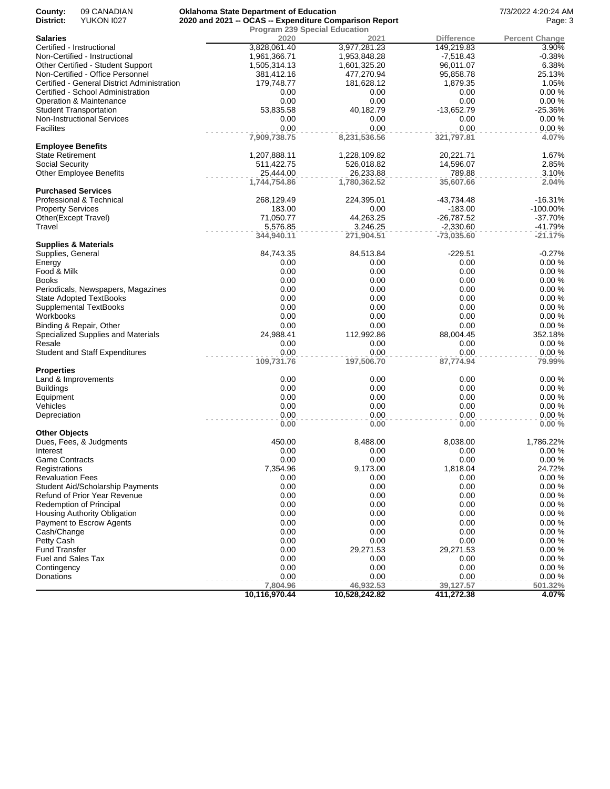| County:<br>District:                       | 09 CANADIAN<br><b>YUKON 1027</b>                                        | <b>Oklahoma State Department of Education</b><br>2020 and 2021 -- OCAS -- Expenditure Comparison Report |                                              |                        | 7/3/2022 4:20:24 AM<br>Page: 3 |
|--------------------------------------------|-------------------------------------------------------------------------|---------------------------------------------------------------------------------------------------------|----------------------------------------------|------------------------|--------------------------------|
| Salaries                                   |                                                                         | 2020                                                                                                    | <b>Program 239 Special Education</b><br>2021 | <b>Difference</b>      | <b>Percent Change</b>          |
|                                            | Certified - Instructional                                               | 3,828,061.40                                                                                            | 3,977,281.23                                 | 149,219.83             | 3.90%                          |
|                                            | Non-Certified - Instructional                                           | 1,961,366.71                                                                                            | 1,953,848.28                                 | $-7,518.43$            | $-0.38%$                       |
|                                            | Other Certified - Student Support                                       | 1,505,314.13                                                                                            | 1,601,325.20                                 | 96,011.07              | 6.38%                          |
|                                            | Non-Certified - Office Personnel                                        | 381,412.16                                                                                              | 477,270.94                                   | 95,858.78              | 25.13%                         |
|                                            | Certified - General District Administration                             | 179,748.77                                                                                              | 181,628.12                                   | 1,879.35               | 1.05%                          |
|                                            | Certified - School Administration                                       | 0.00                                                                                                    | 0.00                                         | 0.00                   | 0.00%                          |
|                                            | Operation & Maintenance                                                 | 0.00                                                                                                    | 0.00                                         | 0.00                   | 0.00%                          |
|                                            | Student Transportation                                                  | 53,835.58                                                                                               | 40,182.79                                    | $-13,652.79$           | $-25.36%$                      |
|                                            | <b>Non-Instructional Services</b>                                       | 0.00                                                                                                    | 0.00                                         | 0.00                   | 0.00%                          |
| <b>Facilites</b>                           |                                                                         | 0.00                                                                                                    | 0.00                                         | 0.00                   | 0.00%                          |
|                                            |                                                                         | 7,909,738.75                                                                                            | 8,231,536.56                                 | 321,797.81             | 4.07%                          |
| <b>Employee Benefits</b>                   |                                                                         |                                                                                                         |                                              |                        |                                |
| <b>State Retirement</b><br>Social Security |                                                                         | 1,207,888.11<br>511,422.75                                                                              | 1,228,109.82<br>526,018.82                   | 20,221.71<br>14,596.07 | 1.67%<br>2.85%                 |
|                                            | <b>Other Employee Benefits</b>                                          | 25,444.00                                                                                               | 26,233.88                                    | 789.88                 | 3.10%                          |
|                                            |                                                                         | 1,744,754.86                                                                                            | 1,780,362.52                                 | 35,607.66              | 2.04%                          |
|                                            | <b>Purchased Services</b>                                               |                                                                                                         |                                              |                        |                                |
|                                            | Professional & Technical                                                | 268,129.49                                                                                              | 224,395.01                                   | -43,734.48             | $-16.31%$                      |
| <b>Property Services</b>                   |                                                                         | 183.00                                                                                                  | 0.00                                         | $-183.00$              | $-100.00\%$                    |
|                                            | Other(Except Travel)                                                    | 71,050.77                                                                                               | 44,263.25                                    | $-26,787.52$           | $-37.70%$                      |
| Travel                                     |                                                                         | 5,576.85                                                                                                | 3,246.25                                     | $-2,330.60$            | $-41.79%$                      |
|                                            |                                                                         | 344,940.11                                                                                              | 271,904.51                                   | $-73,035.60$           | $-21.17%$                      |
|                                            | <b>Supplies &amp; Materials</b>                                         |                                                                                                         |                                              |                        |                                |
| Supplies, General                          |                                                                         | 84,743.35                                                                                               | 84,513.84                                    | $-229.51$              | $-0.27%$                       |
| Energy                                     |                                                                         | 0.00                                                                                                    | 0.00                                         | 0.00                   | 0.00%                          |
| Food & Milk                                |                                                                         | 0.00                                                                                                    | 0.00                                         | 0.00                   | 0.00%                          |
| <b>Books</b>                               |                                                                         | 0.00                                                                                                    | 0.00                                         | 0.00                   | 0.00%                          |
|                                            | Periodicals, Newspapers, Magazines                                      | 0.00                                                                                                    | 0.00                                         | 0.00                   | 0.00%                          |
|                                            | <b>State Adopted TextBooks</b>                                          | 0.00                                                                                                    | 0.00                                         | 0.00                   | 0.00%                          |
|                                            | <b>Supplemental TextBooks</b>                                           | 0.00                                                                                                    | 0.00                                         | 0.00                   | 0.00%                          |
| Workbooks                                  |                                                                         | 0.00                                                                                                    | 0.00                                         | 0.00                   | 0.00%                          |
|                                            | Binding & Repair, Other                                                 | 0.00<br>24,988.41                                                                                       | 0.00<br>112,992.86                           | 0.00                   | 0.00%<br>352.18%               |
| Resale                                     | Specialized Supplies and Materials                                      | 0.00                                                                                                    | 0.00                                         | 88,004.45<br>0.00      | 0.00%                          |
|                                            | <b>Student and Staff Expenditures</b>                                   | 0.00                                                                                                    | 0.00                                         | 0.00                   | 0.00%                          |
|                                            |                                                                         | 109,731.76                                                                                              | 197,506.70                                   | 87,774.94              | 79.99%                         |
| <b>Properties</b>                          |                                                                         |                                                                                                         |                                              |                        |                                |
|                                            | Land & Improvements                                                     | 0.00                                                                                                    | 0.00                                         | 0.00                   | 0.00%                          |
| <b>Buildings</b>                           |                                                                         | 0.00                                                                                                    | 0.00                                         | 0.00                   | 0.00%                          |
| Equipment                                  |                                                                         | 0.00                                                                                                    | 0.00                                         | 0.00                   | 0.00%                          |
| Vehicles                                   |                                                                         | 0.00                                                                                                    | 0.00                                         | 0.00                   | 0.00%                          |
| Depreciation                               |                                                                         | 0.00                                                                                                    | 0.00                                         | 0.00                   | 0.00%                          |
|                                            |                                                                         | 0.00                                                                                                    | 0.00                                         | 0.00                   | 0.00%                          |
| <b>Other Objects</b>                       |                                                                         |                                                                                                         |                                              |                        |                                |
|                                            | Dues, Fees, & Judgments                                                 | 450.00                                                                                                  | 8,488.00                                     | 8,038.00               | 1,786.22%                      |
| Interest                                   |                                                                         | 0.00                                                                                                    | 0.00                                         | 0.00                   | $0.00 \%$                      |
| <b>Game Contracts</b>                      |                                                                         | 0.00                                                                                                    | 0.00                                         | 0.00                   | 0.00%                          |
| Registrations                              |                                                                         | 7,354.96                                                                                                | 9,173.00                                     | 1,818.04               | 24.72%                         |
| <b>Revaluation Fees</b>                    |                                                                         | 0.00<br>0.00                                                                                            | 0.00<br>0.00                                 | 0.00<br>0.00           | 0.00%<br>0.00%                 |
|                                            | <b>Student Aid/Scholarship Payments</b><br>Refund of Prior Year Revenue | 0.00                                                                                                    | 0.00                                         | 0.00                   | 0.00%                          |
|                                            | <b>Redemption of Principal</b>                                          | 0.00                                                                                                    | 0.00                                         | 0.00                   | 0.00%                          |
|                                            | Housing Authority Obligation                                            | 0.00                                                                                                    | 0.00                                         | 0.00                   | 0.00%                          |
|                                            | Payment to Escrow Agents                                                | 0.00                                                                                                    | 0.00                                         | 0.00                   | 0.00%                          |
| Cash/Change                                |                                                                         | 0.00                                                                                                    | 0.00                                         | 0.00                   | 0.00%                          |
| Petty Cash                                 |                                                                         | 0.00                                                                                                    | 0.00                                         | 0.00                   | 0.00%                          |
| <b>Fund Transfer</b>                       |                                                                         | 0.00                                                                                                    | 29,271.53                                    | 29,271.53              | 0.00%                          |
| Fuel and Sales Tax                         |                                                                         | 0.00                                                                                                    | 0.00                                         | 0.00                   | 0.00%                          |
| Contingency                                |                                                                         | 0.00                                                                                                    | 0.00                                         | 0.00                   | 0.00%                          |
| Donations                                  |                                                                         | 0.00                                                                                                    | 0.00                                         | 0.00                   | 0.00%                          |
|                                            |                                                                         | 7,804.96                                                                                                | 46,932.53                                    | 39,127.57              | 501.32%                        |
|                                            |                                                                         | 10,116,970.44                                                                                           | 10,528,242.82                                | 411,272.38             | 4.07%                          |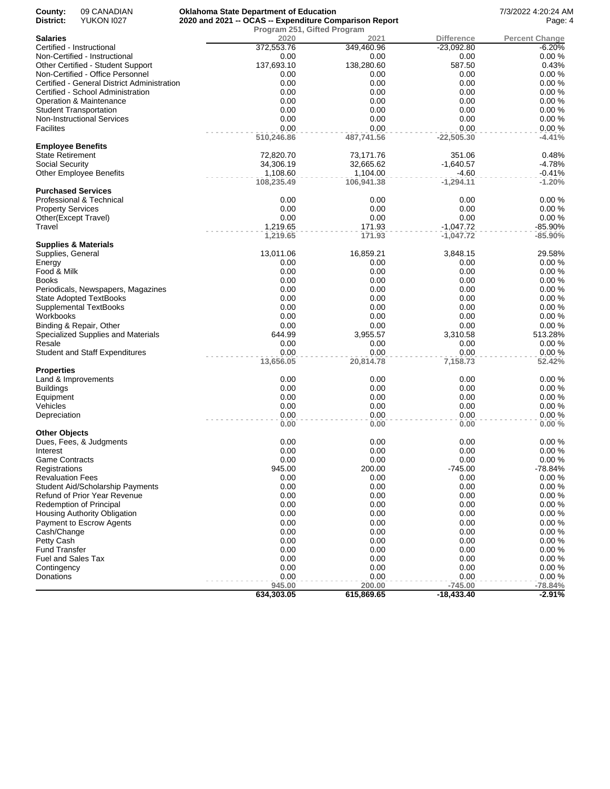| County:                         | 09 CANADIAN                                 | <b>Oklahoma State Department of Education</b>          |            |              | 7/3/2022 4:20:24 AM   |
|---------------------------------|---------------------------------------------|--------------------------------------------------------|------------|--------------|-----------------------|
| District:                       | <b>YUKON 1027</b>                           | 2020 and 2021 -- OCAS -- Expenditure Comparison Report | Page: 4    |              |                       |
|                                 |                                             | Program 251, Gifted Program                            |            |              |                       |
| <b>Salaries</b>                 |                                             | 2020                                                   | 2021       | Difference   | <b>Percent Change</b> |
| Certified - Instructional       |                                             | 372,553.76                                             | 349,460.96 | $-23,092.80$ | $-6.20%$              |
|                                 | Non-Certified - Instructional               | 0.00                                                   | 0.00       | 0.00         | 0.00%                 |
|                                 | Other Certified - Student Support           | 137,693.10                                             | 138,280.60 | 587.50       | 0.43%                 |
|                                 | Non-Certified - Office Personnel            | 0.00                                                   | 0.00       | 0.00         | 0.00%                 |
|                                 | Certified - General District Administration | 0.00                                                   | 0.00       | 0.00         | 0.00%                 |
|                                 | Certified - School Administration           | 0.00                                                   | 0.00       | 0.00         | 0.00%                 |
|                                 | Operation & Maintenance                     | 0.00                                                   | 0.00       | 0.00         | 0.00%                 |
| Student Transportation          |                                             | 0.00                                                   | 0.00       | 0.00         | 0.00%                 |
|                                 | <b>Non-Instructional Services</b>           | 0.00                                                   | 0.00       | 0.00         | 0.00%                 |
| <b>Facilites</b>                |                                             | 0.00                                                   | 0.00       | 0.00         | 0.00%                 |
|                                 |                                             | 510,246.86                                             | 487,741.56 | $-22,505.30$ | $-4.41%$              |
| <b>Employee Benefits</b>        |                                             |                                                        |            |              |                       |
| State Retirement                |                                             | 72,820.70                                              | 73,171.76  | 351.06       | 0.48%                 |
| Social Security                 |                                             | 34,306.19                                              | 32,665.62  | $-1,640.57$  | $-4.78%$              |
|                                 | <b>Other Employee Benefits</b>              | 1,108.60                                               | 1,104.00   | $-4.60$      | $-0.41%$              |
|                                 |                                             | 108,235.49                                             | 106,941.38 | $-1,294.11$  | $-1.20%$              |
| <b>Purchased Services</b>       |                                             |                                                        |            |              |                       |
|                                 | Professional & Technical                    | 0.00                                                   | 0.00       | 0.00         | 0.00%                 |
| <b>Property Services</b>        |                                             | 0.00                                                   | 0.00       | 0.00         | 0.00%                 |
| Other(Except Travel)            |                                             | 0.00                                                   | 0.00       | 0.00         | 0.00%                 |
| Travel                          |                                             | 1,219.65                                               | 171.93     | $-1,047.72$  | $-85.90%$             |
|                                 |                                             | 1,219.65                                               | 171.93     | $-1,047.72$  | $-85.90%$             |
| <b>Supplies &amp; Materials</b> |                                             |                                                        |            |              |                       |
| Supplies, General               |                                             | 13,011.06                                              | 16,859.21  | 3,848.15     | 29.58%                |
| Energy                          |                                             | 0.00                                                   | 0.00       | 0.00         | 0.00%                 |
| Food & Milk                     |                                             | 0.00                                                   | 0.00       | 0.00         | 0.00%                 |
| Books                           |                                             | 0.00                                                   | 0.00       | 0.00         | 0.00%                 |
|                                 | Periodicals, Newspapers, Magazines          | 0.00                                                   | 0.00       | 0.00         | 0.00%                 |
|                                 | State Adopted TextBooks                     | 0.00                                                   | 0.00       | 0.00         | 0.00%                 |
|                                 | <b>Supplemental TextBooks</b>               | 0.00                                                   | 0.00       | 0.00         | 0.00%                 |
| Workbooks                       |                                             | 0.00                                                   | 0.00       | 0.00         | 0.00%                 |
|                                 | Binding & Repair, Other                     | 0.00                                                   | 0.00       | 0.00         | 0.00%                 |
|                                 | Specialized Supplies and Materials          | 644.99                                                 | 3,955.57   | 3,310.58     | 513.28%               |
| Resale                          |                                             | 0.00                                                   | 0.00       | 0.00         | 0.00%                 |
|                                 | <b>Student and Staff Expenditures</b>       | 0.00                                                   | 0.00       | 0.00         | 0.00%                 |
|                                 |                                             | 13,656.05                                              | 20,814.78  | 7,158.73     | 52.42%                |
| <b>Properties</b>               |                                             |                                                        |            |              |                       |
| Land & Improvements             |                                             | 0.00                                                   | 0.00       | 0.00         | 0.00%                 |
| <b>Buildings</b>                |                                             | 0.00                                                   | 0.00       | 0.00         | 0.00%                 |
| Equipment                       |                                             | 0.00                                                   | 0.00       | 0.00         | 0.00%                 |
| Vehicles                        |                                             | 0.00                                                   | 0.00       | 0.00         | 0.00%                 |
| Depreciation                    |                                             | 0.00                                                   | 0.00       | 0.00         | 0.00%                 |
|                                 |                                             | 0.00                                                   | 0.00       | 0.00         | 0.00%                 |
| Other Objects                   |                                             |                                                        |            |              |                       |
|                                 | Dues, Fees, & Judgments                     | 0.00                                                   | 0.00       | 0.00         | 0.00%                 |
| Interest                        |                                             | 0.00                                                   | 0.00       | 0.00         | 0.00%                 |
| Game Contracts                  |                                             | 0.00                                                   | 0.00       | 0.00         | 0.00%                 |
| Registrations                   |                                             | 945.00                                                 | 200.00     | $-745.00$    | $-78.84%$             |
| <b>Revaluation Fees</b>         |                                             | 0.00                                                   | 0.00       | 0.00         | 0.00%                 |
|                                 | Student Aid/Scholarship Payments            | 0.00                                                   | 0.00       | 0.00         | 0.00%                 |
|                                 | Refund of Prior Year Revenue                | 0.00                                                   | 0.00       | 0.00         | 0.00%                 |
|                                 | Redemption of Principal                     | 0.00                                                   | 0.00       | 0.00         | 0.00%                 |
|                                 | Housing Authority Obligation                | 0.00                                                   | 0.00       | 0.00         | 0.00%                 |
|                                 | Payment to Escrow Agents                    | 0.00                                                   | 0.00       | 0.00         | 0.00%                 |
| Cash/Change                     |                                             | 0.00                                                   | 0.00       | 0.00         | 0.00%                 |
| Petty Cash                      |                                             | 0.00                                                   | 0.00       | 0.00         | 0.00%                 |
| Fund Transfer                   |                                             | 0.00                                                   | 0.00       | 0.00         | 0.00%                 |
| Fuel and Sales Tax              |                                             | 0.00                                                   | 0.00       | 0.00         | 0.00%                 |
| Contingency                     |                                             | 0.00                                                   | 0.00       | 0.00         | 0.00%                 |
| Donations                       |                                             | 0.00                                                   | 0.00       | 0.00         | 0.00%                 |
|                                 |                                             | 945.00                                                 | 200.00     | $-745.00$    | $-78.84%$             |
|                                 |                                             | 634,303.05                                             | 615,869.65 | $-18,433.40$ | $-2.91%$              |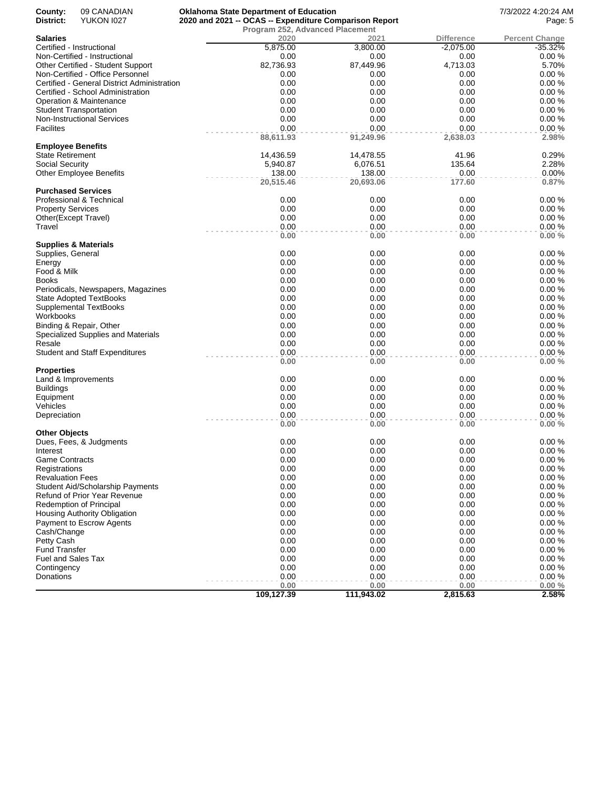| County:                   | 09 CANADIAN                                                           | <b>Oklahoma State Department of Education</b>          |                   |                  | 7/3/2022 4:20:24 AM   |
|---------------------------|-----------------------------------------------------------------------|--------------------------------------------------------|-------------------|------------------|-----------------------|
| District:                 | <b>YUKON 1027</b>                                                     | 2020 and 2021 -- OCAS -- Expenditure Comparison Report |                   |                  | Page: 5               |
|                           |                                                                       | Program 252, Advanced Placement                        |                   |                  |                       |
| <b>Salaries</b>           |                                                                       | 2020                                                   | 2021              | Difference       | <b>Percent Change</b> |
|                           | Certified - Instructional                                             | 5,875.00                                               | 3,800.00          | $-2,075.00$      | $-35.32%$             |
|                           | Non-Certified - Instructional                                         | 0.00                                                   | 0.00              | 0.00             | 0.00%                 |
|                           | Other Certified - Student Support<br>Non-Certified - Office Personnel | 82,736.93<br>0.00                                      | 87,449.96         | 4,713.03         | 5.70%<br>0.00%        |
|                           | Certified - General District Administration                           | 0.00                                                   | 0.00<br>0.00      | 0.00<br>0.00     | 0.00%                 |
|                           |                                                                       |                                                        |                   |                  |                       |
|                           | Certified - School Administration                                     | 0.00                                                   | 0.00              | 0.00             | 0.00%                 |
|                           | Operation & Maintenance                                               | 0.00                                                   | 0.00              | 0.00             | 0.00%                 |
|                           | <b>Student Transportation</b>                                         | 0.00                                                   | 0.00              | 0.00             | 0.00%                 |
|                           | <b>Non-Instructional Services</b>                                     | 0.00                                                   | 0.00              | 0.00             | 0.00%                 |
| <b>Facilites</b>          |                                                                       | 0.00<br>88,611.93                                      | 0.00<br>91,249.96 | 0.00<br>2,638.03 | 0.00%<br>2.98%        |
| <b>Employee Benefits</b>  |                                                                       |                                                        |                   |                  |                       |
| State Retirement          |                                                                       | 14,436.59                                              | 14,478.55         | 41.96            | 0.29%                 |
| Social Security           |                                                                       | 5,940.87                                               | 6,076.51          | 135.64           | 2.28%                 |
|                           | <b>Other Employee Benefits</b>                                        | 138.00                                                 | 138.00            | 0.00             | 0.00%                 |
|                           |                                                                       | 20,515.46                                              | 20,693.06         | 177.60           | 0.87%                 |
|                           | <b>Purchased Services</b>                                             |                                                        |                   |                  |                       |
|                           | Professional & Technical                                              | 0.00                                                   | 0.00              | 0.00             | 0.00%                 |
| <b>Property Services</b>  |                                                                       | 0.00                                                   | 0.00              | 0.00             | 0.00%                 |
|                           | Other(Except Travel)                                                  | 0.00                                                   | 0.00              | 0.00             | 0.00%                 |
| Travel                    |                                                                       | 0.00                                                   | 0.00              | 0.00             | 0.00%                 |
|                           |                                                                       | 0.00                                                   | 0.00              | 0.00             | 0.00%                 |
|                           | <b>Supplies &amp; Materials</b>                                       |                                                        |                   |                  |                       |
| Supplies, General         |                                                                       | 0.00                                                   | 0.00              | 0.00             | 0.00%                 |
| Energy                    |                                                                       | 0.00                                                   | 0.00              | 0.00             | 0.00%                 |
| Food & Milk               |                                                                       | 0.00                                                   | 0.00              | 0.00             | 0.00%                 |
| Books                     |                                                                       | 0.00                                                   | 0.00              | 0.00             | 0.00%                 |
|                           | Periodicals, Newspapers, Magazines                                    | 0.00                                                   | 0.00              | 0.00             | 0.00%                 |
|                           | <b>State Adopted TextBooks</b>                                        | 0.00                                                   | 0.00              | 0.00             | 0.00%                 |
|                           | Supplemental TextBooks                                                | 0.00                                                   | 0.00              | 0.00             | 0.00%                 |
| Workbooks                 |                                                                       | 0.00                                                   | 0.00              | 0.00             | 0.00%                 |
|                           | Binding & Repair, Other                                               | 0.00                                                   | 0.00              | 0.00             | 0.00%                 |
|                           | Specialized Supplies and Materials                                    | 0.00                                                   | 0.00              | 0.00             | 0.00%                 |
| Resale                    |                                                                       | 0.00                                                   | 0.00              | 0.00             | 0.00%                 |
|                           | <b>Student and Staff Expenditures</b>                                 | 0.00                                                   | 0.00              | 0.00             | 0.00%                 |
|                           |                                                                       | 0.00                                                   | 0.00              | 0.00             | 0.00%                 |
| Properties                |                                                                       |                                                        |                   |                  |                       |
|                           | Land & Improvements                                                   | 0.00                                                   | 0.00              | 0.00             | 0.00%                 |
| <b>Buildings</b>          |                                                                       | 0.00                                                   | 0.00              | 0.00             | 0.00%                 |
| Equipment                 |                                                                       | 0.00                                                   | 0.00              | 0.00             | 0.00%                 |
| Vehicles                  |                                                                       | 0.00                                                   | 0.00              | 0.00             | 0.00%                 |
| Depreciation              |                                                                       | 0.00                                                   | 0.00              | 0.00             | 0.00%                 |
|                           |                                                                       | 0.00                                                   | 0.00              | 0.00             | 0.00%                 |
| Other Objects             |                                                                       |                                                        |                   |                  |                       |
|                           | Dues, Fees, & Judgments                                               | 0.00                                                   | 0.00              | 0.00             | 0.00%                 |
| Interest                  |                                                                       | 0.00                                                   | 0.00              | 0.00             | 0.00%                 |
| <b>Game Contracts</b>     |                                                                       | 0.00                                                   | 0.00              | 0.00             | 0.00%                 |
| Registrations             |                                                                       | 0.00                                                   | 0.00              | 0.00             | 0.00%                 |
| <b>Revaluation Fees</b>   |                                                                       | 0.00                                                   | 0.00              | 0.00             | 0.00%                 |
|                           | Student Aid/Scholarship Payments                                      | 0.00                                                   | 0.00              | 0.00             | 0.00%                 |
|                           | Refund of Prior Year Revenue                                          | 0.00                                                   | 0.00              | 0.00             | 0.00%                 |
|                           | <b>Redemption of Principal</b>                                        | 0.00                                                   | 0.00              | 0.00             | 0.00%                 |
|                           | <b>Housing Authority Obligation</b>                                   | 0.00                                                   | 0.00              | 0.00             | 0.00%                 |
|                           | Payment to Escrow Agents                                              | 0.00                                                   | 0.00              | 0.00             | 0.00%                 |
| Cash/Change               |                                                                       | 0.00                                                   | 0.00              | 0.00             | 0.00%                 |
| Petty Cash                |                                                                       | 0.00                                                   | 0.00              | 0.00             | 0.00%                 |
| <b>Fund Transfer</b>      |                                                                       | 0.00                                                   | 0.00              | 0.00             | 0.00%                 |
| <b>Fuel and Sales Tax</b> |                                                                       | 0.00                                                   | 0.00              | 0.00             | 0.00%                 |
| Contingency               |                                                                       | 0.00                                                   | 0.00              | 0.00             | 0.00%                 |
| Donations                 |                                                                       | 0.00                                                   | 0.00              | 0.00             | 0.00%                 |
|                           |                                                                       | 0.00                                                   | 0.00              | 0.00             | 0.00%                 |
|                           |                                                                       | 109,127.39                                             | 111,943.02        | 2,815.63         | 2.58%                 |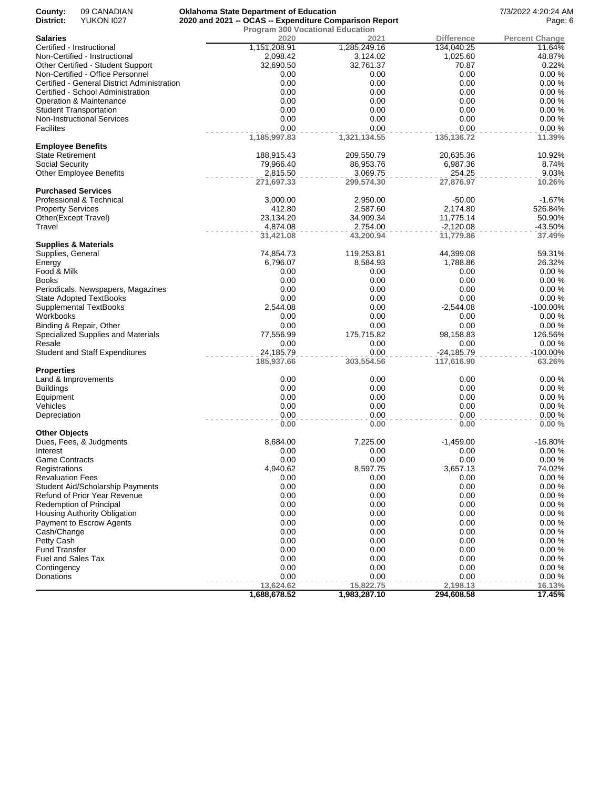| 09 CANADIAN<br>County:<br>District:<br><b>YUKON 1027</b> | <b>Oklahoma State Department of Education</b><br>2020 and 2021 -- OCAS -- Expenditure Comparison Report |              |                   | 7/3/2022 4:20:24 AM<br>Page: 6 |
|----------------------------------------------------------|---------------------------------------------------------------------------------------------------------|--------------|-------------------|--------------------------------|
|                                                          | <b>Program 300 Vocational Education</b>                                                                 |              |                   |                                |
| <b>Salaries</b>                                          | 2020                                                                                                    | 2021         | <b>Difference</b> | <b>Percent Change</b>          |
| Certified - Instructional                                | 1,151,208.91                                                                                            | 1,285,249.16 | 134,040.25        | 11.64%                         |
| Non-Certified - Instructional                            | 2,098.42                                                                                                | 3,124.02     | 1,025.60          | 48.87%                         |
|                                                          | 32,690.50                                                                                               | 32,761.37    |                   | 0.22%                          |
| Other Certified - Student Support                        |                                                                                                         |              | 70.87             |                                |
| Non-Certified - Office Personnel                         | 0.00                                                                                                    | 0.00         | 0.00              | 0.00%                          |
| Certified - General District Administration              | 0.00                                                                                                    | 0.00         | 0.00              | 0.00%                          |
| Certified - School Administration                        | 0.00                                                                                                    | 0.00         | 0.00              | 0.00%                          |
| Operation & Maintenance                                  | 0.00                                                                                                    | 0.00         | 0.00              | 0.00%                          |
| <b>Student Transportation</b>                            | 0.00                                                                                                    | 0.00         | 0.00              | 0.00%                          |
| <b>Non-Instructional Services</b>                        | 0.00                                                                                                    | 0.00         | 0.00              | 0.00%                          |
| <b>Facilites</b>                                         | 0.00                                                                                                    | 0.00         | 0.00              | 0.00%                          |
|                                                          | 1,185,997.83                                                                                            | 1,321,134.55 | 135,136.72        | 11.39%                         |
| <b>Employee Benefits</b>                                 |                                                                                                         |              |                   |                                |
| <b>State Retirement</b>                                  | 188,915.43                                                                                              | 209,550.79   | 20,635.36         | 10.92%                         |
| Social Security                                          | 79,966.40                                                                                               | 86,953.76    | 6,987.36          | 8.74%                          |
| <b>Other Employee Benefits</b>                           | 2,815.50                                                                                                | 3,069.75     | 254.25            | 9.03%                          |
|                                                          | 271,697.33                                                                                              | 299,574.30   | 27,876.97         | 10.26%                         |
|                                                          |                                                                                                         |              |                   |                                |
| <b>Purchased Services</b>                                |                                                                                                         |              |                   |                                |
| Professional & Technical                                 | 3,000.00                                                                                                | 2,950.00     | $-50.00$          | $-1.67%$                       |
| <b>Property Services</b>                                 | 412.80                                                                                                  | 2,587.60     | 2,174.80          | 526.84%                        |
| Other(Except Travel)                                     | 23,134.20                                                                                               | 34,909.34    | 11,775.14         | 50.90%                         |
| Travel                                                   | 4,874.08                                                                                                | 2,754.00     | $-2,120.08$       | $-43.50%$                      |
|                                                          | 31,421.08                                                                                               | 43,200.94    | 11,779.86         | 37.49%                         |
| <b>Supplies &amp; Materials</b>                          |                                                                                                         |              |                   |                                |
| Supplies, General                                        | 74,854.73                                                                                               | 119,253.81   | 44,399.08         | 59.31%                         |
| Energy                                                   | 6,796.07                                                                                                | 8,584.93     | 1,788.86          | 26.32%                         |
| Food & Milk                                              | 0.00                                                                                                    | 0.00         | 0.00              | 0.00%                          |
| <b>Books</b>                                             | 0.00                                                                                                    | 0.00         | 0.00              | 0.00%                          |
| Periodicals, Newspapers, Magazines                       | 0.00                                                                                                    | 0.00         | 0.00              | 0.00%                          |
|                                                          | 0.00                                                                                                    | 0.00         | 0.00              | 0.00%                          |
| <b>State Adopted TextBooks</b>                           |                                                                                                         |              |                   |                                |
| Supplemental TextBooks                                   | 2,544.08                                                                                                | 0.00         | $-2,544.08$       | -100.00%                       |
| Workbooks                                                | 0.00                                                                                                    | 0.00         | 0.00              | 0.00%                          |
| Binding & Repair, Other                                  | 0.00                                                                                                    | 0.00         | 0.00              | 0.00%                          |
| Specialized Supplies and Materials                       | 77,556.99                                                                                               | 175,715.82   | 98,158.83         | 126.56%                        |
| Resale                                                   | 0.00                                                                                                    | 0.00         | 0.00              | 0.00%                          |
| <b>Student and Staff Expenditures</b>                    | 24,185.79                                                                                               | 0.00         | $-24,185.79$      | $-100.00\%$                    |
|                                                          | 185,937.66                                                                                              | 303,554.56   | 117,616.90        | 63.26%                         |
| <b>Properties</b>                                        |                                                                                                         |              |                   |                                |
| Land & Improvements                                      | 0.00                                                                                                    | 0.00         | 0.00              | 0.00%                          |
| <b>Buildings</b>                                         | 0.00                                                                                                    | 0.00         | 0.00              | 0.00%                          |
| Equipment                                                | 0.00                                                                                                    | 0.00         | 0.00              | 0.00%                          |
| Vehicles                                                 | 0.00                                                                                                    | 0.00         | 0.00              | 0.00%                          |
| Depreciation                                             | 0.00                                                                                                    | 0.00         | 0.00              | 0.00%                          |
|                                                          |                                                                                                         |              |                   |                                |
|                                                          | 0.00                                                                                                    | 0.00         | 0.00              | 0.00%                          |
| <b>Other Objects</b>                                     |                                                                                                         |              |                   |                                |
| Dues, Fees, & Judgments                                  | 8,684.00                                                                                                | 7,225.00     | $-1,459.00$       | $-16.80%$                      |
| Interest                                                 | 0.00                                                                                                    | 0.00         | 0.00              | 0.00%                          |
| <b>Game Contracts</b>                                    | 0.00                                                                                                    | 0.00         | 0.00              | 0.00%                          |
| Registrations                                            | 4,940.62                                                                                                | 8,597.75     | 3,657.13          | 74.02%                         |
| <b>Revaluation Fees</b>                                  | 0.00                                                                                                    | 0.00         | 0.00              | 0.00%                          |
| Student Aid/Scholarship Payments                         | 0.00                                                                                                    | 0.00         | 0.00              | 0.00%                          |
| Refund of Prior Year Revenue                             | 0.00                                                                                                    | 0.00         | 0.00              | 0.00%                          |
| Redemption of Principal                                  | 0.00                                                                                                    | 0.00         | 0.00              | 0.00%                          |
| Housing Authority Obligation                             | 0.00                                                                                                    | 0.00         | 0.00              | 0.00%                          |
| Payment to Escrow Agents                                 | 0.00                                                                                                    | 0.00         | 0.00              | 0.00%                          |
|                                                          | 0.00                                                                                                    | 0.00         | 0.00              | 0.00%                          |
| Cash/Change                                              |                                                                                                         |              |                   |                                |
| Petty Cash                                               | 0.00                                                                                                    | 0.00         | 0.00              | 0.00%                          |
| <b>Fund Transfer</b>                                     | 0.00                                                                                                    | 0.00         | 0.00              | 0.00%                          |
| <b>Fuel and Sales Tax</b>                                | 0.00                                                                                                    | 0.00         | 0.00              | 0.00%                          |
| Contingency                                              | 0.00                                                                                                    | 0.00         | 0.00              | 0.00%                          |
| Donations                                                | 0.00                                                                                                    | 0.00         | 0.00              | 0.00%                          |
|                                                          | 13,624.62                                                                                               | 15,822.75    | 2,198.13          | 16.13%                         |
|                                                          | 1,688,678.52                                                                                            | 1,983,287.10 | 294,608.58        | 17.45%                         |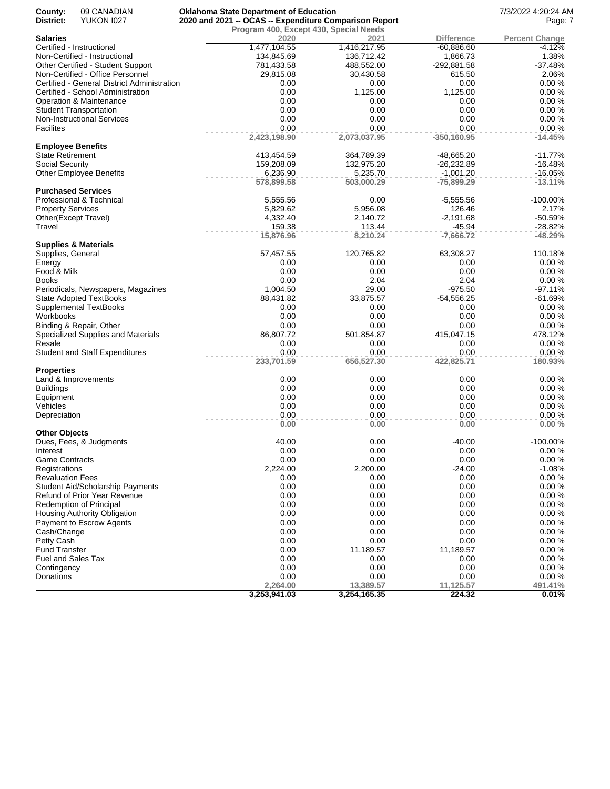| County:                   | 09 CANADIAN                                 | <b>Oklahoma State Department of Education</b>          |                   |                   | 7/3/2022 4:20:24 AM   |
|---------------------------|---------------------------------------------|--------------------------------------------------------|-------------------|-------------------|-----------------------|
| District:                 | <b>YUKON 1027</b>                           | 2020 and 2021 -- OCAS -- Expenditure Comparison Report |                   |                   | Page: 7               |
|                           |                                             | Program 400, Except 430, Special Needs                 |                   |                   |                       |
| <b>Salaries</b>           |                                             | 2020                                                   | 2021              | <b>Difference</b> | <b>Percent Change</b> |
|                           | Certified - Instructional                   | 1,477,104.55                                           | 1,416,217.95      | $-60,886.60$      | $-4.12%$              |
|                           | Non-Certified - Instructional               | 134,845.69                                             | 136,712.42        | 1,866.73          | 1.38%                 |
|                           | Other Certified - Student Support           | 781,433.58                                             | 488,552.00        | -292,881.58       | $-37.48%$             |
|                           | Non-Certified - Office Personnel            | 29,815.08                                              | 30,430.58         | 615.50            | 2.06%                 |
|                           | Certified - General District Administration | 0.00                                                   | 0.00              | 0.00              | 0.00%                 |
|                           | Certified - School Administration           | 0.00                                                   | 1,125.00          | 1,125.00          | 0.00%                 |
|                           | Operation & Maintenance                     | 0.00                                                   | 0.00              | 0.00              | 0.00%                 |
|                           | <b>Student Transportation</b>               | 0.00                                                   | 0.00              | 0.00              | 0.00%                 |
|                           | <b>Non-Instructional Services</b>           | 0.00                                                   | 0.00              | 0.00              | 0.00%                 |
| <b>Facilites</b>          |                                             | 0.00                                                   | 0.00              | 0.00              | 0.00%                 |
|                           |                                             | 2,423,198.90                                           | 2,073,037.95      | $-350,160.95$     | $-14.45%$             |
| <b>Employee Benefits</b>  |                                             |                                                        |                   |                   |                       |
| <b>State Retirement</b>   |                                             | 413,454.59                                             | 364,789.39        | -48,665.20        | $-11.77%$             |
| <b>Social Security</b>    |                                             | 159,208.09                                             | 132,975.20        | $-26,232.89$      | $-16.48%$             |
|                           | <b>Other Employee Benefits</b>              | 6,236.90                                               | 5,235.70          | $-1,001.20$       | $-16.05%$             |
|                           |                                             | 578,899.58                                             | 503,000.29        | $-75,899.29$      | $-13.11%$             |
|                           | <b>Purchased Services</b>                   |                                                        |                   |                   |                       |
|                           | Professional & Technical                    | 5,555.56                                               | 0.00              | $-5,555.56$       | $-100.00\%$           |
| <b>Property Services</b>  |                                             | 5,829.62                                               | 5,956.08          | 126.46            | 2.17%                 |
| Other(Except Travel)      |                                             | 4,332.40                                               | 2,140.72          | $-2,191.68$       | $-50.59%$             |
| Travel                    |                                             | 159.38                                                 | 113.44            | $-45.94$          | $-28.82%$             |
|                           |                                             | 15,876.96                                              | 8,210.24          | $-7,666.72$       | $-48.29%$             |
|                           | <b>Supplies &amp; Materials</b>             |                                                        |                   |                   |                       |
| Supplies, General         |                                             | 57,457.55                                              | 120,765.82        | 63,308.27         | 110.18%               |
| Energy                    |                                             | 0.00                                                   | 0.00              | 0.00              | 0.00%                 |
| Food & Milk               |                                             | 0.00                                                   | 0.00              | 0.00              | 0.00%                 |
| Books                     |                                             | 0.00                                                   | 2.04              | 2.04              | 0.00%                 |
|                           | Periodicals, Newspapers, Magazines          | 1,004.50                                               | 29.00             | $-975.50$         | $-97.11%$             |
|                           | <b>State Adopted TextBooks</b>              | 88,431.82                                              | 33,875.57         | $-54,556.25$      | $-61.69%$             |
|                           | <b>Supplemental TextBooks</b>               | 0.00                                                   | 0.00              | 0.00              | 0.00%                 |
| Workbooks                 |                                             | 0.00                                                   | 0.00              | 0.00              | 0.00%                 |
|                           | Binding & Repair, Other                     | 0.00                                                   | 0.00              | 0.00              | 0.00%                 |
|                           | Specialized Supplies and Materials          | 86,807.72                                              | 501,854.87        | 415,047.15        | 478.12%               |
| Resale                    |                                             | 0.00                                                   | 0.00              | 0.00              | 0.00%                 |
|                           | <b>Student and Staff Expenditures</b>       | 0.00                                                   | 0.00              | 0.00              | 0.00%                 |
|                           |                                             | 233,701.59                                             | 656,527.30        | 422,825.71        | 180.93%               |
| <b>Properties</b>         |                                             |                                                        |                   |                   |                       |
|                           | Land & Improvements                         | 0.00                                                   | 0.00              | 0.00              | 0.00%                 |
| <b>Buildings</b>          |                                             | 0.00                                                   | 0.00              | 0.00              | 0.00%                 |
| Equipment                 |                                             | 0.00                                                   | 0.00              | 0.00              | 0.00%                 |
| Vehicles                  |                                             | 0.00                                                   | 0.00              | 0.00              | 0.00%                 |
| Depreciation              |                                             | 0.00                                                   | 0.00              | 0.00              | 0.00%                 |
|                           |                                             | 0.00                                                   | 0.00              | 0.00              | 0.00%                 |
| <b>Other Objects</b>      |                                             |                                                        |                   |                   |                       |
|                           | Dues, Fees, & Judgments                     | 40.00                                                  | 0.00              | $-40.00$          | $-100.00\%$           |
| Interest                  |                                             | 0.00                                                   | 0.00              | 0.00              | $0.00 \%$             |
| <b>Game Contracts</b>     |                                             | 0.00                                                   | 0.00              | 0.00              | 0.00%                 |
| Registrations             |                                             | 2,224.00                                               | 2,200.00          | $-24.00$          | $-1.08%$              |
| <b>Revaluation Fees</b>   |                                             | 0.00                                                   | 0.00              | 0.00              | 0.00%                 |
|                           | <b>Student Aid/Scholarship Payments</b>     | 0.00                                                   | 0.00              | 0.00              | 0.00%                 |
|                           | Refund of Prior Year Revenue                | 0.00                                                   | 0.00              | 0.00              | 0.00%                 |
|                           | Redemption of Principal                     | 0.00                                                   | 0.00              | 0.00              | 0.00%                 |
|                           | <b>Housing Authority Obligation</b>         | 0.00                                                   | 0.00              | 0.00              | 0.00%                 |
|                           | Payment to Escrow Agents                    | 0.00                                                   | 0.00              | 0.00              | 0.00%                 |
| Cash/Change               |                                             | 0.00                                                   | 0.00              | 0.00              | 0.00%                 |
| Petty Cash                |                                             | 0.00                                                   | 0.00              | 0.00              | 0.00%                 |
| <b>Fund Transfer</b>      |                                             | 0.00                                                   | 11,189.57         | 11,189.57         | 0.00%                 |
|                           |                                             |                                                        |                   |                   | 0.00%                 |
| <b>Fuel and Sales Tax</b> |                                             | 0.00<br>0.00                                           | 0.00<br>0.00      | 0.00<br>0.00      | 0.00%                 |
| Contingency               |                                             | 0.00                                                   |                   | 0.00              | 0.00%                 |
| Donations                 |                                             |                                                        | 0.00<br>13,389.57 |                   |                       |
|                           |                                             | 2,264.00                                               |                   | 11,125.57         | 491.41%               |
|                           |                                             | 3,253,941.03                                           | 3,254,165.35      | 224.32            | 0.01%                 |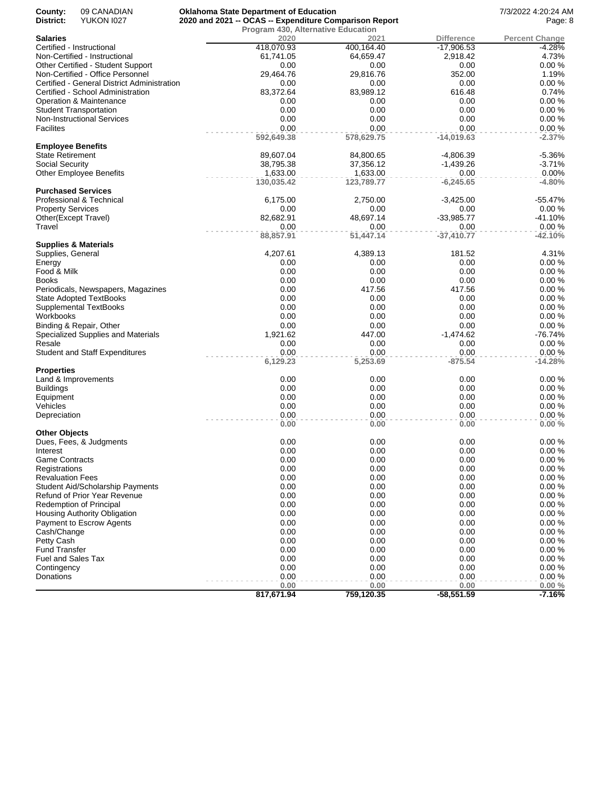| County:<br>District:     | 09 CANADIAN<br><b>YUKON 1027</b>            | <b>Oklahoma State Department of Education</b><br>2020 and 2021 -- OCAS -- Expenditure Comparison Report |                    |                      | 7/3/2022 4:20:24 AM<br>Page: 8 |
|--------------------------|---------------------------------------------|---------------------------------------------------------------------------------------------------------|--------------------|----------------------|--------------------------------|
|                          |                                             | <b>Program 430, Alternative Education</b>                                                               |                    |                      |                                |
| <b>Salaries</b>          |                                             | 2020                                                                                                    | 2021               | <b>Difference</b>    | <b>Percent Change</b>          |
|                          | Certified - Instructional                   | 418,070.93                                                                                              | 400,164.40         | $-17,906.53$         | -4.28%                         |
|                          | Non-Certified - Instructional               | 61,741.05                                                                                               | 64,659.47          | 2,918.42             | 4.73%                          |
|                          | Other Certified - Student Support           | 0.00                                                                                                    | 0.00               | 0.00                 | 0.00%                          |
|                          | Non-Certified - Office Personnel            | 29,464.76                                                                                               | 29,816.76          | 352.00               | 1.19%                          |
|                          | Certified - General District Administration | 0.00                                                                                                    | 0.00               | 0.00                 | 0.00%                          |
|                          | Certified - School Administration           | 83,372.64                                                                                               | 83,989.12          | 616.48               | 0.74%                          |
|                          | Operation & Maintenance                     | 0.00                                                                                                    | 0.00               | 0.00                 | 0.00%                          |
|                          | <b>Student Transportation</b>               | 0.00                                                                                                    | 0.00               | 0.00                 | 0.00%                          |
|                          | <b>Non-Instructional Services</b>           | 0.00                                                                                                    | 0.00               | 0.00                 | 0.00%                          |
| <b>Facilites</b>         |                                             | 0.00<br>592,649.38                                                                                      | 0.00<br>578,629.75 | 0.00<br>$-14,019.63$ | 0.00%<br>$-2.37%$              |
| <b>Employee Benefits</b> |                                             |                                                                                                         |                    |                      |                                |
| <b>State Retirement</b>  |                                             | 89,607.04                                                                                               | 84,800.65          | -4,806.39            | $-5.36%$                       |
| <b>Social Security</b>   |                                             | 38,795.38                                                                                               | 37,356.12          | $-1,439.26$          | $-3.71%$                       |
|                          | <b>Other Employee Benefits</b>              | 1,633.00                                                                                                | 1,633.00           | 0.00                 | 0.00%                          |
|                          |                                             | 130,035.42                                                                                              | 123,789.77         | $-6,245.65$          | $-4.80%$                       |
|                          | <b>Purchased Services</b>                   |                                                                                                         |                    |                      |                                |
|                          | Professional & Technical                    | 6,175.00                                                                                                | 2,750.00           | $-3,425.00$          | $-55.47%$                      |
| <b>Property Services</b> |                                             | 0.00                                                                                                    | 0.00               | 0.00                 | 0.00%                          |
|                          | Other(Except Travel)                        | 82,682.91                                                                                               | 48,697.14          | $-33,985.77$         | $-41.10%$                      |
| Travel                   |                                             | 0.00<br>88,857.91                                                                                       | 0.00<br>51,447.14  | 0.00<br>$-37,410.77$ | 0.00%<br>$-42.10%$             |
|                          | <b>Supplies &amp; Materials</b>             |                                                                                                         |                    |                      |                                |
| Supplies, General        |                                             | 4,207.61                                                                                                | 4,389.13           | 181.52               | 4.31%                          |
| Energy                   |                                             | 0.00                                                                                                    | 0.00               | 0.00                 | 0.00%                          |
| Food & Milk              |                                             | 0.00                                                                                                    | 0.00               | 0.00                 | 0.00%                          |
| Books                    |                                             | 0.00                                                                                                    | 0.00               | 0.00                 | 0.00%                          |
|                          | Periodicals, Newspapers, Magazines          | 0.00                                                                                                    | 417.56             | 417.56               | 0.00%                          |
|                          | <b>State Adopted TextBooks</b>              | 0.00                                                                                                    | 0.00               | 0.00                 | 0.00%                          |
|                          | Supplemental TextBooks                      | 0.00                                                                                                    | 0.00               | 0.00                 | 0.00%                          |
| Workbooks                |                                             | 0.00                                                                                                    | 0.00               | 0.00                 | 0.00%                          |
|                          | Binding & Repair, Other                     | 0.00                                                                                                    | 0.00               | 0.00                 | 0.00%                          |
|                          | Specialized Supplies and Materials          | 1,921.62                                                                                                | 447.00             | $-1,474.62$          | $-76.74%$                      |
| Resale                   |                                             | 0.00                                                                                                    | 0.00               | 0.00                 | 0.00%                          |
|                          | <b>Student and Staff Expenditures</b>       | 0.00                                                                                                    | 0.00               | 0.00                 | 0.00%                          |
| <b>Properties</b>        |                                             | 6,129.23                                                                                                | 5,253.69           | $-875.54$            | $-14.28%$                      |
|                          | Land & Improvements                         | 0.00                                                                                                    | 0.00               | 0.00                 | 0.00%                          |
| <b>Buildings</b>         |                                             | 0.00                                                                                                    | 0.00               | 0.00                 | 0.00%                          |
| Equipment                |                                             | 0.00                                                                                                    | 0.00               | 0.00                 | 0.00%                          |
| Vehicles                 |                                             | 0.00                                                                                                    | 0.00               | 0.00                 | 0.00%                          |
| Depreciation             |                                             | 0.00                                                                                                    | 0.00               | 0.00                 | 0.00%                          |
|                          |                                             | 0.00                                                                                                    | 0.00               | 0.00                 | 0.00%                          |
| <b>Other Objects</b>     |                                             |                                                                                                         |                    |                      |                                |
|                          | Dues, Fees, & Judgments                     | 0.00                                                                                                    | 0.00               | 0.00                 | 0.00%                          |
| Interest                 |                                             | 0.00                                                                                                    | 0.00               | 0.00                 | 0.00%                          |
| <b>Game Contracts</b>    |                                             | 0.00                                                                                                    | 0.00               | 0.00                 | 0.00%                          |
| Registrations            |                                             | 0.00<br>0.00                                                                                            | 0.00<br>0.00       | 0.00<br>0.00         | 0.00%<br>0.00%                 |
| <b>Revaluation Fees</b>  |                                             |                                                                                                         |                    |                      |                                |
|                          | <b>Student Aid/Scholarship Payments</b>     | 0.00                                                                                                    | 0.00               | 0.00                 | 0.00%                          |
|                          | Refund of Prior Year Revenue                | 0.00                                                                                                    | 0.00               | 0.00                 | 0.00%                          |
|                          | Redemption of Principal                     | 0.00                                                                                                    | 0.00               | 0.00                 | 0.00%                          |
|                          | Housing Authority Obligation                | 0.00                                                                                                    | 0.00               | 0.00                 | 0.00%                          |
|                          | Payment to Escrow Agents                    | 0.00                                                                                                    | 0.00               | 0.00                 | 0.00%                          |
| Cash/Change              |                                             | 0.00                                                                                                    | 0.00               | 0.00                 | 0.00%                          |
| Petty Cash               |                                             | 0.00                                                                                                    | 0.00               | 0.00                 | 0.00%                          |
| <b>Fund Transfer</b>     |                                             | 0.00                                                                                                    | 0.00               | 0.00                 | 0.00%                          |
| Fuel and Sales Tax       |                                             | 0.00<br>0.00                                                                                            | 0.00<br>0.00       | 0.00<br>0.00         | 0.00%<br>0.00%                 |
| Contingency              |                                             | 0.00                                                                                                    | 0.00               | 0.00                 | 0.00%                          |
| Donations                |                                             | 0.00                                                                                                    | 0.00               | 0.00                 | 0.00%                          |
|                          |                                             | 817,671.94                                                                                              | 759,120.35         | $-58,551.59$         | $-7.16%$                       |
|                          |                                             |                                                                                                         |                    |                      |                                |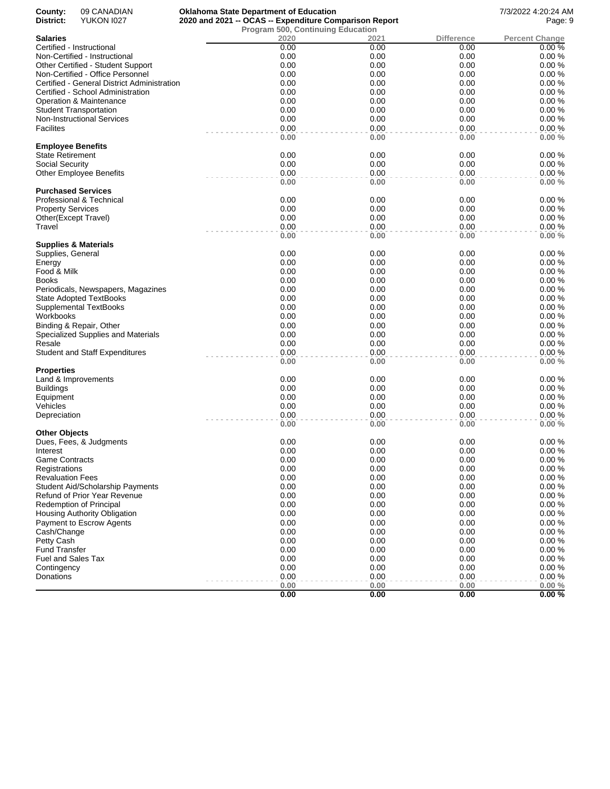| County:<br>District:              | 09 CANADIAN<br><b>YUKON 1027</b>            | <b>Oklahoma State Department of Education</b><br>2020 and 2021 -- OCAS -- Expenditure Comparison Report |              |                   | 7/3/2022 4:20:24 AM<br>Page: 9 |
|-----------------------------------|---------------------------------------------|---------------------------------------------------------------------------------------------------------|--------------|-------------------|--------------------------------|
|                                   |                                             | Program 500, Continuing Education                                                                       |              |                   |                                |
| <b>Salaries</b>                   |                                             | 2020                                                                                                    | 2021         | <b>Difference</b> | <b>Percent Change</b>          |
|                                   | Certified - Instructional                   | 0.00                                                                                                    | 0.00         | 0.00              | 0.00%                          |
|                                   | Non-Certified - Instructional               | 0.00                                                                                                    | 0.00         | 0.00              | 0.00%                          |
|                                   | Other Certified - Student Support           | 0.00                                                                                                    | 0.00         | 0.00              | 0.00%                          |
|                                   | Non-Certified - Office Personnel            | 0.00                                                                                                    | 0.00         | 0.00              | 0.00%                          |
|                                   | Certified - General District Administration | 0.00                                                                                                    | 0.00         | 0.00              | 0.00%                          |
|                                   | Certified - School Administration           | 0.00                                                                                                    | 0.00         | 0.00              | 0.00%                          |
|                                   | Operation & Maintenance                     | 0.00                                                                                                    | 0.00         | 0.00              | 0.00%                          |
|                                   | <b>Student Transportation</b>               | 0.00                                                                                                    | 0.00         | 0.00              | 0.00%                          |
|                                   | <b>Non-Instructional Services</b>           | 0.00                                                                                                    | 0.00         | 0.00              | 0.00%                          |
| Facilites                         |                                             | 0.00                                                                                                    | 0.00         | 0.00              | 0.00%                          |
| <b>Employee Benefits</b>          |                                             | 0.00                                                                                                    | 0.00         | 0.00              | 0.00%                          |
| <b>State Retirement</b>           |                                             | 0.00                                                                                                    | 0.00         | 0.00              | 0.00%                          |
| <b>Social Security</b>            |                                             | 0.00                                                                                                    | 0.00         | 0.00              | 0.00%                          |
|                                   | <b>Other Employee Benefits</b>              | 0.00                                                                                                    | 0.00         | 0.00              | 0.00%                          |
|                                   | <b>Purchased Services</b>                   | 0.00                                                                                                    | 0.00         | 0.00              | 0.00%                          |
|                                   | Professional & Technical                    | 0.00                                                                                                    | 0.00         | 0.00              | 0.00%                          |
| <b>Property Services</b>          |                                             | 0.00                                                                                                    | 0.00         | 0.00              | 0.00%                          |
|                                   | Other(Except Travel)                        | 0.00                                                                                                    | 0.00         | 0.00              | 0.00%                          |
| Travel                            |                                             | 0.00                                                                                                    | 0.00         | 0.00              | 0.00%                          |
|                                   |                                             | 0.00                                                                                                    | 0.00         | 0.00              | 0.00%                          |
|                                   | <b>Supplies &amp; Materials</b>             |                                                                                                         |              |                   |                                |
| Supplies, General                 |                                             | 0.00                                                                                                    | 0.00         | 0.00              | 0.00%                          |
| Energy                            |                                             | 0.00                                                                                                    | 0.00         | 0.00              | 0.00%                          |
| Food & Milk                       |                                             | 0.00                                                                                                    | 0.00         | 0.00              | 0.00%                          |
| Books                             |                                             | 0.00                                                                                                    | 0.00         | 0.00              | 0.00%                          |
|                                   | Periodicals, Newspapers, Magazines          | 0.00                                                                                                    | 0.00         | 0.00              | 0.00%                          |
|                                   | <b>State Adopted TextBooks</b>              | 0.00                                                                                                    | 0.00         | 0.00              | 0.00%                          |
|                                   | Supplemental TextBooks                      | 0.00                                                                                                    | 0.00         | 0.00              | 0.00%                          |
| Workbooks                         |                                             | 0.00                                                                                                    | 0.00         | 0.00              | 0.00%                          |
|                                   | Binding & Repair, Other                     | 0.00                                                                                                    | 0.00         | 0.00              | 0.00%                          |
|                                   | Specialized Supplies and Materials          | 0.00                                                                                                    | 0.00         | 0.00              | 0.00%                          |
| Resale                            |                                             | 0.00                                                                                                    | 0.00         | 0.00              | 0.00%                          |
|                                   | <b>Student and Staff Expenditures</b>       | 0.00<br>0.00                                                                                            | 0.00<br>0.00 | 0.00<br>0.00      | 0.00%<br>0.00%                 |
| <b>Properties</b>                 |                                             |                                                                                                         |              |                   |                                |
|                                   | Land & Improvements                         | 0.00                                                                                                    | 0.00         | 0.00              | 0.00%                          |
| <b>Buildings</b>                  |                                             | 0.00                                                                                                    | 0.00         | 0.00              | 0.00%                          |
| Equipment                         |                                             | 0.00                                                                                                    | 0.00         | 0.00              | 0.00%                          |
| Vehicles                          |                                             | 0.00                                                                                                    | 0.00         | 0.00              | 0.00%                          |
| Depreciation                      |                                             | 0.00                                                                                                    | 0.00         | 0.00              | 0.00%                          |
|                                   |                                             | 0.00                                                                                                    | 0.00         | 0.00              | 0.00%                          |
| <b>Other Objects</b>              | Dues, Fees, & Judgments                     | 0.00                                                                                                    | 0.00         | 0.00              | 0.00%                          |
|                                   |                                             |                                                                                                         |              |                   |                                |
| Interest<br><b>Game Contracts</b> |                                             | 0.00<br>0.00                                                                                            | 0.00<br>0.00 | 0.00<br>0.00      | 0.00%<br>0.00%                 |
|                                   |                                             |                                                                                                         |              |                   |                                |
| Registrations                     |                                             | 0.00                                                                                                    | 0.00         | 0.00              | 0.00%                          |
| <b>Revaluation Fees</b>           |                                             | 0.00                                                                                                    | 0.00         | 0.00              | 0.00%                          |
|                                   | <b>Student Aid/Scholarship Payments</b>     | 0.00                                                                                                    | 0.00         | 0.00              | 0.00%                          |
|                                   | <b>Refund of Prior Year Revenue</b>         | 0.00                                                                                                    | 0.00         | 0.00              | 0.00%                          |
|                                   | <b>Redemption of Principal</b>              | 0.00                                                                                                    | 0.00         | 0.00              | 0.00%                          |
|                                   | Housing Authority Obligation                | 0.00                                                                                                    | 0.00         | 0.00              | 0.00%                          |
|                                   | Payment to Escrow Agents                    | 0.00                                                                                                    | 0.00         | 0.00              | 0.00%                          |
| Cash/Change                       |                                             | 0.00                                                                                                    | 0.00         | 0.00              | 0.00%                          |
| Petty Cash                        |                                             | 0.00                                                                                                    | 0.00         | 0.00              | 0.00%                          |
| <b>Fund Transfer</b>              |                                             | 0.00                                                                                                    | 0.00         | 0.00              | 0.00%                          |
| Fuel and Sales Tax                |                                             | 0.00                                                                                                    | 0.00         | 0.00              | 0.00%                          |
| Contingency                       |                                             | 0.00                                                                                                    | 0.00         | 0.00              | 0.00%                          |
| Donations                         |                                             | 0.00                                                                                                    | 0.00         | 0.00              | 0.00%                          |
|                                   |                                             | 0.00                                                                                                    | 0.00         | 0.00              | 0.00%                          |
|                                   |                                             | 0.00                                                                                                    | 0.00         | 0.00              | 0.00%                          |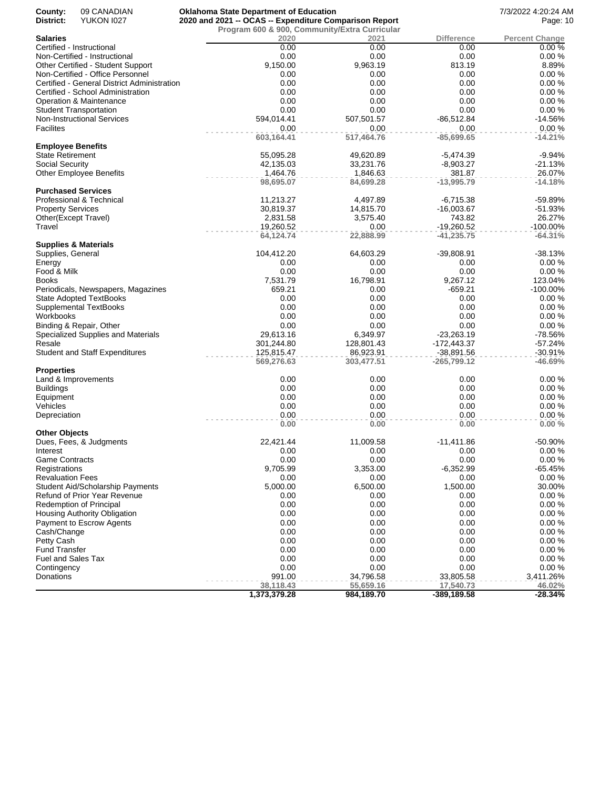| County:<br>District:     | 09 CANADIAN<br><b>YUKON 1027</b>                                                 | <b>Oklahoma State Department of Education</b><br>2020 and 2021 -- OCAS -- Expenditure Comparison Report |                         |                               | 7/3/2022 4:20:24 AM<br>Page: 10 |
|--------------------------|----------------------------------------------------------------------------------|---------------------------------------------------------------------------------------------------------|-------------------------|-------------------------------|---------------------------------|
|                          |                                                                                  | Program 600 & 900, Community/Extra Curricular                                                           |                         |                               |                                 |
| Salaries                 |                                                                                  | 2020                                                                                                    | 2021                    | <b>Difference</b>             | <b>Percent Change</b>           |
|                          | Certified - Instructional                                                        | 0.00                                                                                                    | 0.00                    | 0.00                          | 0.00%                           |
|                          | Non-Certified - Instructional                                                    | 0.00                                                                                                    | 0.00                    | 0.00                          | 0.00%                           |
|                          | Other Certified - Student Support                                                | 9,150.00                                                                                                | 9,963.19                | 813.19                        | 8.89%                           |
|                          | Non-Certified - Office Personnel                                                 | 0.00                                                                                                    | 0.00                    | 0.00                          | 0.00%                           |
|                          | Certified - General District Administration<br>Certified - School Administration | 0.00<br>0.00                                                                                            | 0.00<br>0.00            | 0.00<br>0.00                  | 0.00%<br>0.00%                  |
|                          | Operation & Maintenance                                                          | 0.00                                                                                                    | 0.00                    | 0.00                          | 0.00%                           |
|                          | <b>Student Transportation</b>                                                    | 0.00                                                                                                    | 0.00                    | 0.00                          | 0.00%                           |
|                          | Non-Instructional Services                                                       | 594,014.41                                                                                              | 507,501.57              | -86,512.84                    | $-14.56%$                       |
| Facilites                |                                                                                  | 0.00                                                                                                    | 0.00                    | 0.00                          | 0.00%                           |
|                          |                                                                                  | 603,164.41                                                                                              | 517,464.76              | $-85,699.65$                  | $-14.21%$                       |
| <b>Employee Benefits</b> |                                                                                  |                                                                                                         |                         |                               |                                 |
| State Retirement         |                                                                                  | 55,095.28<br>42,135.03                                                                                  | 49,620.89<br>33,231.76  | -5,474.39<br>$-8,903.27$      | $-9.94%$<br>$-21.13%$           |
| Social Security          | <b>Other Employee Benefits</b>                                                   | 1,464.76                                                                                                | 1,846.63                | 381.87                        | 26.07%                          |
|                          |                                                                                  | 98,695.07                                                                                               | 84,699.28               | $-13,995.79$                  | $-14.18%$                       |
|                          | <b>Purchased Services</b>                                                        |                                                                                                         |                         |                               |                                 |
|                          | Professional & Technical                                                         | 11,213.27                                                                                               | 4,497.89                | $-6,715.38$                   | -59.89%                         |
| <b>Property Services</b> |                                                                                  | 30,819.37                                                                                               | 14,815.70               | $-16,003.67$                  | $-51.93%$                       |
| Other(Except Travel)     |                                                                                  | 2,831.58                                                                                                | 3,575.40                | 743.82                        | 26.27%                          |
| Travel                   |                                                                                  | 19,260.52                                                                                               | 0.00                    | $-19,260.52$                  | $-100.00\%$                     |
|                          | <b>Supplies &amp; Materials</b>                                                  | 64,124.74                                                                                               | 22,888.99               | $-41,235.75$                  | $-64.31%$                       |
| Supplies, General        |                                                                                  | 104,412.20                                                                                              | 64,603.29               | -39,808.91                    | $-38.13%$                       |
| Energy                   |                                                                                  | 0.00                                                                                                    | 0.00                    | 0.00                          | 0.00%                           |
| Food & Milk              |                                                                                  | 0.00                                                                                                    | 0.00                    | 0.00                          | 0.00%                           |
| Books                    |                                                                                  | 7,531.79                                                                                                | 16,798.91               | 9,267.12                      | 123.04%                         |
|                          | Periodicals, Newspapers, Magazines                                               | 659.21                                                                                                  | 0.00                    | $-659.21$                     | $-100.00\%$                     |
|                          | <b>State Adopted TextBooks</b>                                                   | 0.00                                                                                                    | 0.00                    | 0.00                          | 0.00%                           |
|                          | Supplemental TextBooks                                                           | 0.00                                                                                                    | 0.00                    | 0.00                          | 0.00%                           |
| Workbooks                |                                                                                  | 0.00                                                                                                    | 0.00                    | 0.00                          | 0.00%                           |
|                          | Binding & Repair, Other                                                          | 0.00                                                                                                    | 0.00                    | 0.00                          | 0.00%                           |
|                          | Specialized Supplies and Materials                                               | 29,613.16                                                                                               | 6,349.97                | $-23,263.19$                  | -78.56%                         |
| Resale                   |                                                                                  | 301,244.80                                                                                              | 128,801.43              | $-172,443.37$                 | $-57.24%$                       |
|                          | <b>Student and Staff Expenditures</b>                                            | 125,815.47<br>569,276.63                                                                                | 86,923.91<br>303,477.51 | $-38,891.56$<br>$-265,799.12$ | $-30.91%$<br>$-46.69%$          |
| Properties               |                                                                                  |                                                                                                         |                         |                               |                                 |
|                          | Land & Improvements                                                              | 0.00                                                                                                    | 0.00                    | 0.00                          | 0.00%                           |
| <b>Buildings</b>         |                                                                                  | 0.00                                                                                                    | 0.00                    | 0.00                          | 0.00%                           |
| Equipment                |                                                                                  | 0.00                                                                                                    | 0.00                    | 0.00                          | 0.00%                           |
| Vehicles                 |                                                                                  | 0.00                                                                                                    | 0.00                    | 0.00                          | 0.00%                           |
| Depreciation             |                                                                                  | 0.00<br>0.00                                                                                            | 0.00<br>0.00            | 0.00<br>0.00                  | 0.00%<br>0.00%                  |
| Other Objects            |                                                                                  |                                                                                                         |                         |                               |                                 |
|                          | Dues, Fees, & Judgments                                                          | 22,421.44                                                                                               | 11,009.58               | $-11,411.86$                  | -50.90%                         |
| Interest                 |                                                                                  | 0.00                                                                                                    | 0.00                    | 0.00                          | 0.00%                           |
| Game Contracts           |                                                                                  | 0.00                                                                                                    | 0.00                    | 0.00                          | 0.00%                           |
| Registrations            |                                                                                  | 9,705.99                                                                                                | 3,353.00                | $-6,352.99$                   | $-65.45%$                       |
| <b>Revaluation Fees</b>  |                                                                                  | 0.00                                                                                                    | 0.00                    | 0.00                          | 0.00%                           |
|                          | Student Aid/Scholarship Payments                                                 | 5,000.00                                                                                                | 6,500.00                | 1,500.00                      | 30.00%                          |
|                          | Refund of Prior Year Revenue                                                     | 0.00                                                                                                    | 0.00                    | 0.00                          | 0.00%                           |
|                          | Redemption of Principal                                                          | 0.00                                                                                                    | 0.00                    | 0.00                          | 0.00%                           |
|                          | Housing Authority Obligation                                                     | 0.00<br>0.00                                                                                            | 0.00                    | 0.00                          | 0.00%<br>0.00%                  |
| Cash/Change              | Payment to Escrow Agents                                                         | 0.00                                                                                                    | 0.00<br>0.00            | 0.00<br>0.00                  | 0.00%                           |
| Petty Cash               |                                                                                  | 0.00                                                                                                    | 0.00                    | 0.00                          | 0.00%                           |
| Fund Transfer            |                                                                                  | 0.00                                                                                                    | 0.00                    | 0.00                          | 0.00%                           |
| Fuel and Sales Tax       |                                                                                  | 0.00                                                                                                    | 0.00                    | 0.00                          | 0.00%                           |
| Contingency              |                                                                                  | 0.00                                                                                                    | 0.00                    | 0.00                          | 0.00%                           |
| Donations                |                                                                                  | 991.00                                                                                                  | 34,796.58               | 33,805.58                     | 3,411.26%                       |
|                          |                                                                                  | 38,118.43                                                                                               | 55,659.16               | 17,540.73                     | 46.02%                          |
|                          |                                                                                  | 1,373,379.28                                                                                            | 984,189.70              | $-389,189.58$                 | $-28.34%$                       |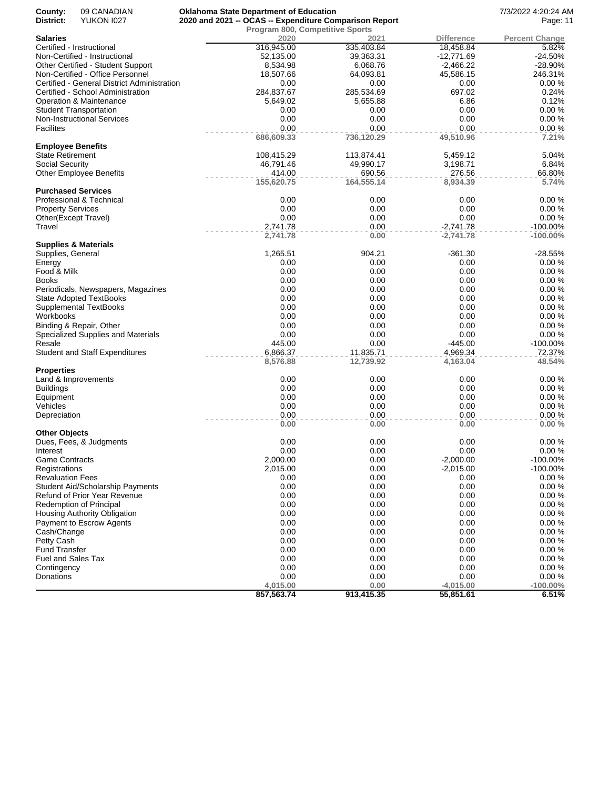| County:<br>District:      | 09 CANADIAN<br><b>YUKON 1027</b>            | <b>Oklahoma State Department of Education</b><br>2020 and 2021 -- OCAS -- Expenditure Comparison Report |                                 |                   | 7/3/2022 4:20:24 AM<br>Page: 11 |
|---------------------------|---------------------------------------------|---------------------------------------------------------------------------------------------------------|---------------------------------|-------------------|---------------------------------|
|                           |                                             |                                                                                                         | Program 800, Competitive Sports |                   |                                 |
| <b>Salaries</b>           |                                             | 2020                                                                                                    | 2021                            | <b>Difference</b> | <b>Percent Change</b>           |
|                           | Certified - Instructional                   | 316,945.00                                                                                              | 335,403.84                      | 18,458.84         | 5.82%                           |
|                           | Non-Certified - Instructional               | 52,135.00                                                                                               | 39,363.31                       | $-12,771.69$      | $-24.50%$                       |
|                           | Other Certified - Student Support           | 8,534.98                                                                                                | 6,068.76                        | $-2,466.22$       | -28.90%                         |
|                           | Non-Certified - Office Personnel            | 18,507.66                                                                                               | 64,093.81                       | 45,586.15         | 246.31%                         |
|                           | Certified - General District Administration | 0.00                                                                                                    | 0.00                            | 0.00              | 0.00%                           |
|                           | Certified - School Administration           | 284,837.67                                                                                              | 285,534.69                      | 697.02            | 0.24%                           |
|                           | Operation & Maintenance                     | 5,649.02                                                                                                | 5,655.88                        | 6.86              | 0.12%                           |
|                           | <b>Student Transportation</b>               | 0.00                                                                                                    | 0.00                            | 0.00              | 0.00%                           |
|                           | <b>Non-Instructional Services</b>           | 0.00                                                                                                    | 0.00                            | 0.00              | 0.00%                           |
| <b>Facilites</b>          |                                             | 0.00                                                                                                    | 0.00                            | 0.00              | 0.00%                           |
| <b>Employee Benefits</b>  |                                             | 686,609.33                                                                                              | 736,120.29                      | 49,510.96         | 7.21%                           |
| <b>State Retirement</b>   |                                             | 108,415.29                                                                                              | 113,874.41                      | 5,459.12          | 5.04%                           |
| Social Security           |                                             | 46,791.46                                                                                               | 49,990.17                       | 3,198.71          | 6.84%                           |
|                           | <b>Other Employee Benefits</b>              | 414.00                                                                                                  | 690.56                          | 276.56            | 66.80%                          |
|                           |                                             | 155,620.75                                                                                              | 164,555.14                      | 8,934.39          | 5.74%                           |
|                           | <b>Purchased Services</b>                   |                                                                                                         |                                 |                   |                                 |
|                           | Professional & Technical                    | 0.00                                                                                                    | 0.00                            | 0.00              | 0.00%                           |
| <b>Property Services</b>  |                                             | 0.00                                                                                                    | 0.00                            | 0.00              | 0.00%                           |
|                           | Other(Except Travel)                        | 0.00                                                                                                    | 0.00                            | 0.00              | 0.00%                           |
| Travel                    |                                             | 2,741.78                                                                                                | 0.00                            | $-2,741.78$       | $-100.00\%$                     |
|                           |                                             | 2,741.78                                                                                                | 0.00                            | $-2,741.78$       | $-100.00\%$                     |
|                           | <b>Supplies &amp; Materials</b>             |                                                                                                         |                                 |                   |                                 |
| Supplies, General         |                                             | 1,265.51                                                                                                | 904.21                          | $-361.30$         | $-28.55%$                       |
| Energy                    |                                             | 0.00                                                                                                    | 0.00                            | 0.00              | 0.00%                           |
| Food & Milk               |                                             | 0.00                                                                                                    | 0.00                            | 0.00              | 0.00%                           |
| Books                     |                                             | 0.00                                                                                                    | 0.00                            | 0.00              | 0.00%                           |
|                           | Periodicals, Newspapers, Magazines          | 0.00                                                                                                    | 0.00                            | 0.00              | 0.00%                           |
|                           | <b>State Adopted TextBooks</b>              | 0.00                                                                                                    | 0.00                            | 0.00              | 0.00%                           |
|                           | Supplemental TextBooks                      | 0.00                                                                                                    | 0.00                            | 0.00              | 0.00%                           |
| Workbooks                 |                                             | 0.00                                                                                                    | 0.00                            | 0.00              | 0.00%                           |
|                           | Binding & Repair, Other                     | 0.00                                                                                                    | 0.00                            | 0.00              | 0.00%                           |
|                           | Specialized Supplies and Materials          | 0.00                                                                                                    | 0.00                            | 0.00              | 0.00%                           |
| Resale                    |                                             | 445.00                                                                                                  | 0.00                            | $-445.00$         | $-100.00\%$                     |
|                           | <b>Student and Staff Expenditures</b>       | 6,866.37                                                                                                | 11,835.71                       | 4,969.34          | 72.37%                          |
|                           |                                             | 8,576.88                                                                                                | 12,739.92                       | 4,163.04          | 48.54%                          |
| <b>Properties</b>         | Land & Improvements                         | 0.00                                                                                                    | 0.00                            | 0.00              | 0.00%                           |
| <b>Buildings</b>          |                                             | 0.00                                                                                                    | 0.00                            | 0.00              | 0.00%                           |
| Equipment                 |                                             | 0.00                                                                                                    | 0.00                            | 0.00              | 0.00%                           |
| Vehicles                  |                                             | 0.00                                                                                                    | 0.00                            | 0.00              | 0.00%                           |
| Depreciation              |                                             | 0.00                                                                                                    | 0.00                            | 0.00              | 0.00%                           |
|                           |                                             | 0.00                                                                                                    | 0.00                            | 0.00              | 0.00%                           |
| <b>Other Objects</b>      |                                             |                                                                                                         |                                 |                   |                                 |
|                           | Dues, Fees, & Judgments                     | 0.00                                                                                                    | 0.00                            | 0.00              | 0.00%                           |
| Interest                  |                                             | 0.00                                                                                                    | 0.00                            | 0.00              | 0.00%                           |
| <b>Game Contracts</b>     |                                             | 2,000.00                                                                                                | 0.00                            | $-2,000.00$       | $-100.00\%$                     |
| Registrations             |                                             | 2,015.00                                                                                                | 0.00                            | $-2,015.00$       | $-100.00\%$                     |
| <b>Revaluation Fees</b>   |                                             | 0.00                                                                                                    | 0.00                            | 0.00              | 0.00%                           |
|                           | Student Aid/Scholarship Payments            | 0.00                                                                                                    | 0.00                            | 0.00              | 0.00%                           |
|                           | <b>Refund of Prior Year Revenue</b>         | 0.00                                                                                                    | 0.00                            | 0.00              | 0.00%                           |
|                           | <b>Redemption of Principal</b>              | 0.00                                                                                                    | 0.00                            | 0.00              | 0.00%                           |
|                           | Housing Authority Obligation                | 0.00                                                                                                    | 0.00                            | 0.00              | 0.00%                           |
|                           | Payment to Escrow Agents                    | 0.00                                                                                                    | 0.00                            | 0.00              | 0.00%                           |
| Cash/Change               |                                             | 0.00                                                                                                    | 0.00                            | 0.00              | 0.00%                           |
| Petty Cash                |                                             | 0.00                                                                                                    | 0.00                            | 0.00              | 0.00%                           |
| <b>Fund Transfer</b>      |                                             | 0.00                                                                                                    | 0.00                            | 0.00              | 0.00%                           |
| <b>Fuel and Sales Tax</b> |                                             | 0.00                                                                                                    | 0.00                            | 0.00              | 0.00%                           |
| Contingency               |                                             | 0.00                                                                                                    | 0.00                            | 0.00              | 0.00%                           |
| Donations                 |                                             | 0.00                                                                                                    | 0.00                            | 0.00              | 0.00%                           |
|                           |                                             | 4,015.00                                                                                                | 0.00                            | $-4,015.00$       | $-100.00\%$                     |
|                           |                                             | 857,563.74                                                                                              | 913,415.35                      | 55,851.61         | 6.51%                           |